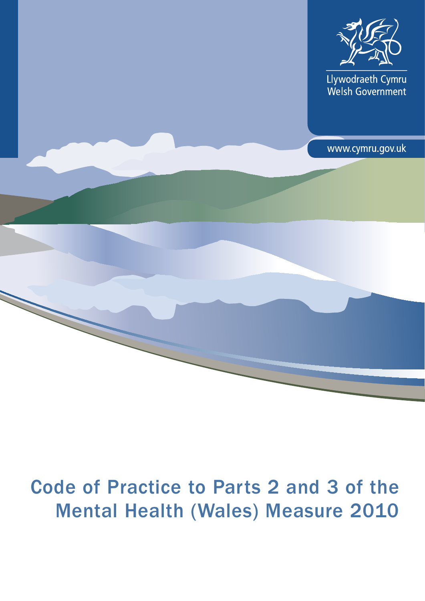

Llywodraeth Cymru<br>Welsh Government

www.cymru.gov.uk

# Code of Practice to Parts 2 and 3 of the Mental Health (Wales) Measure 2010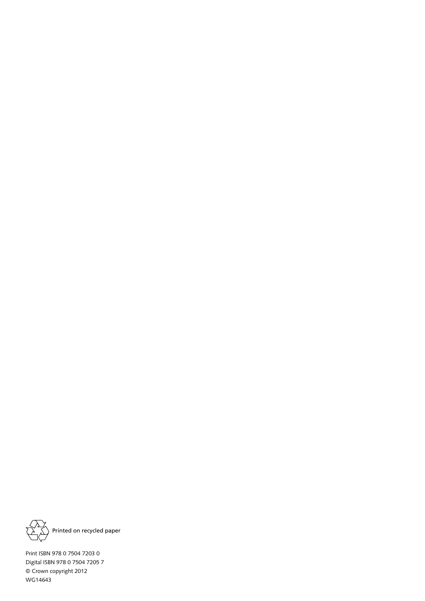

Printed on recycled paper

Print ISBN 978 0 7504 7203 0 Digital ISBN 978 0 7504 7205 7 © Crown copyright 2012 WG14643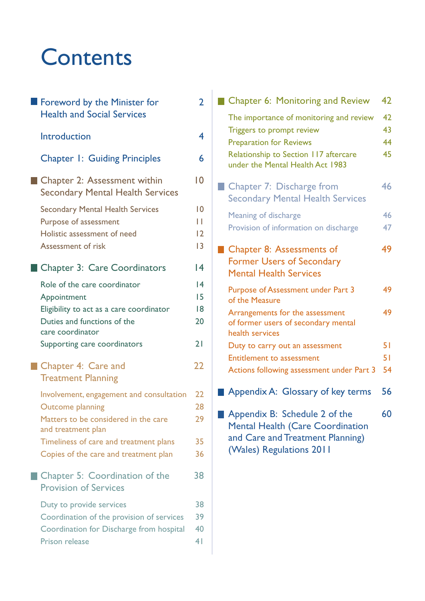# **Contents**

| Foreword by the Minister for<br><b>Health and Social Services</b>                                                                                                                                                    | 2                                                       |
|----------------------------------------------------------------------------------------------------------------------------------------------------------------------------------------------------------------------|---------------------------------------------------------|
| Introduction                                                                                                                                                                                                         | 4                                                       |
| <b>Chapter 1: Guiding Principles</b>                                                                                                                                                                                 | 6                                                       |
| Chapter 2: Assessment within<br><b>Secondary Mental Health Services</b>                                                                                                                                              | 10                                                      |
| <b>Secondary Mental Health Services</b><br>Purpose of assessment<br>Holistic assessment of need<br>Assessment of risk                                                                                                | $\overline{0}$<br>Н<br>$\overline{2}$<br>$\overline{3}$ |
| <b>Chapter 3: Care Coordinators</b>                                                                                                                                                                                  | 14                                                      |
| Role of the care coordinator<br>Appointment<br>Eligibility to act as a care coordinator<br>Duties and functions of the<br>care coordinator<br>Supporting care coordinators                                           | $\overline{14}$<br>15<br>18<br>20<br>21                 |
| Chapter 4: Care and<br><b>Treatment Planning</b>                                                                                                                                                                     | 22                                                      |
| Involvement, engagement and consultation<br><b>Outcome planning</b><br>Matters to be considered in the care<br>and treatment plan<br>Timeliness of care and treatment plans<br>Copies of the care and treatment plan | 22<br>28<br>29<br>35<br>36                              |
| Chapter 5: Coordination of the<br><b>Provision of Services</b>                                                                                                                                                       | 38                                                      |
| Duty to provide services<br>Coordination of the provision of services<br>Coordination for Discharge from hospital<br><b>Prison release</b>                                                                           | 38<br>39<br>40<br>4 <sub>1</sub>                        |

| <b>Chapter 6: Monitoring and Review</b>                                                                                                  | 42 |
|------------------------------------------------------------------------------------------------------------------------------------------|----|
| The importance of monitoring and review                                                                                                  | 42 |
| Triggers to prompt review                                                                                                                | 43 |
| <b>Preparation for Reviews</b>                                                                                                           | 44 |
| Relationship to Section 117 aftercare<br>under the Mental Health Act 1983                                                                | 45 |
| Chapter 7: Discharge from<br><b>Secondary Mental Health Services</b>                                                                     | 46 |
|                                                                                                                                          |    |
| Meaning of discharge                                                                                                                     | 46 |
| Provision of information on discharge                                                                                                    | 47 |
| Chapter 8: Assessments of                                                                                                                | 49 |
| <b>Former Users of Secondary</b><br><b>Mental Health Services</b>                                                                        |    |
| Purpose of Assessment under Part 3<br>of the Measure                                                                                     | 49 |
| Arrangements for the assessment<br>of former users of secondary mental<br>health services                                                | 49 |
| Duty to carry out an assessment                                                                                                          | 51 |
| <b>Entitlement to assessment</b>                                                                                                         | 51 |
| Actions following assessment under Part 3                                                                                                | 54 |
| Appendix A: Glossary of key terms                                                                                                        | 56 |
| Appendix B: Schedule 2 of the<br><b>Mental Health (Care Coordination</b><br>and Care and Treatment Planning)<br>(Wales) Regulations 2011 | 60 |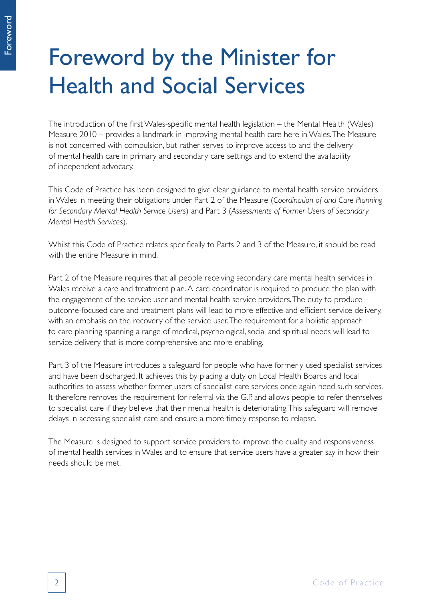# Foreword by the Minister for Health and Social Services

The introduction of the first Wales-specific mental health legislation – the Mental Health (Wales) Measure 2010 – provides a landmark in improving mental health care here in Wales. The Measure is not concerned with compulsion, but rather serves to improve access to and the delivery of mental health care in primary and secondary care settings and to extend the availability of independent advocacy.

This Code of Practice has been designed to give clear guidance to mental health service providers in Wales in meeting their obligations under Part 2 of the Measure (*Coordination of and Care Planning for Secondary Mental Health Service Users*) and Part 3 (*Assessments of Former Users of Secondary Mental Health Services*).

Whilst this Code of Practice relates specifically to Parts 2 and 3 of the Measure, it should be read with the entire Measure in mind.

Part 2 of the Measure requires that all people receiving secondary care mental health services in Wales receive a care and treatment plan. A care coordinator is required to produce the plan with the engagement of the service user and mental health service providers. The duty to produce outcome-focused care and treatment plans will lead to more effective and efficient service delivery, with an emphasis on the recovery of the service user. The requirement for a holistic approach to care planning spanning a range of medical, psychological, social and spiritual needs will lead to service delivery that is more comprehensive and more enabling.

Part 3 of the Measure introduces a safeguard for people who have formerly used specialist services and have been discharged. It achieves this by placing a duty on Local Health Boards and local authorities to assess whether former users of specialist care services once again need such services. It therefore removes the requirement for referral via the G.P. and allows people to refer themselves to specialist care if they believe that their mental health is deteriorating. This safeguard will remove delays in accessing specialist care and ensure a more timely response to relapse.

The Measure is designed to support service providers to improve the quality and responsiveness of mental health services in Wales and to ensure that service users have a greater say in how their needs should be met.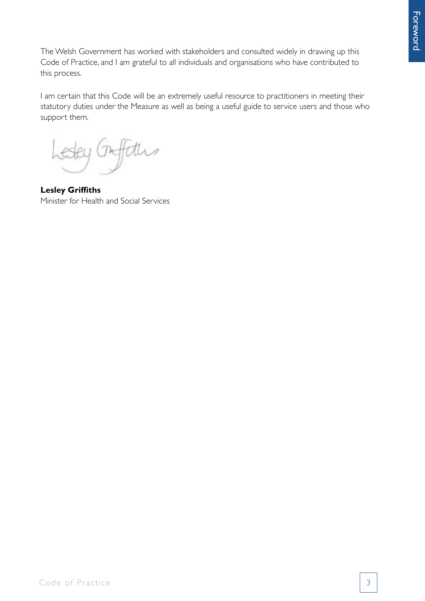The Welsh Government has worked with stakeholders and consulted widely in drawing up this Code of Practice, and I am grateful to all individuals and organisations who have contributed to this process.

I am certain that this Code will be an extremely useful resource to practitioners in meeting their statutory duties under the Measure as well as being a useful guide to service users and those who support them.

Afters

**Lesley Griffiths** Minister for Health and Social Services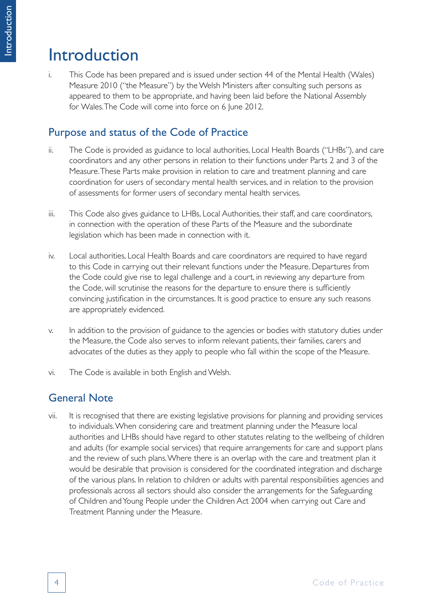# Introduction

i. This Code has been prepared and is issued under section 44 of the Mental Health (Wales) Measure 2010 ("the Measure") by the Welsh Ministers after consulting such persons as appeared to them to be appropriate, and having been laid before the National Assembly for Wales. The Code will come into force on 6 June 2012.

# Purpose and status of the Code of Practice

- ii. The Code is provided as guidance to local authorities, Local Health Boards ("LHBs"), and care coordinators and any other persons in relation to their functions under Parts 2 and 3 of the Measure. These Parts make provision in relation to care and treatment planning and care coordination for users of secondary mental health services, and in relation to the provision of assessments for former users of secondary mental health services.
- iii. This Code also gives guidance to LHBs, Local Authorities, their staff, and care coordinators, in connection with the operation of these Parts of the Measure and the subordinate legislation which has been made in connection with it.
- iv. Local authorities, Local Health Boards and care coordinators are required to have regard to this Code in carrying out their relevant functions under the Measure. Departures from the Code could give rise to legal challenge and a court, in reviewing any departure from the Code, will scrutinise the reasons for the departure to ensure there is sufficiently convincing justification in the circumstances. It is good practice to ensure any such reasons are appropriately evidenced.
- v. In addition to the provision of guidance to the agencies or bodies with statutory duties under the Measure, the Code also serves to inform relevant patients, their families, carers and advocates of the duties as they apply to people who fall within the scope of the Measure.
- vi. The Code is available in both English and Welsh.

# General Note

vii. It is recognised that there are existing legislative provisions for planning and providing services to individuals. When considering care and treatment planning under the Measure local authorities and LHBs should have regard to other statutes relating to the wellbeing of children and adults (for example social services) that require arrangements for care and support plans and the review of such plans. Where there is an overlap with the care and treatment plan it would be desirable that provision is considered for the coordinated integration and discharge of the various plans. In relation to children or adults with parental responsibilities agencies and professionals across all sectors should also consider the arrangements for the Safeguarding of Children and Young People under the Children Act 2004 when carrying out Care and Treatment Planning under the Measure.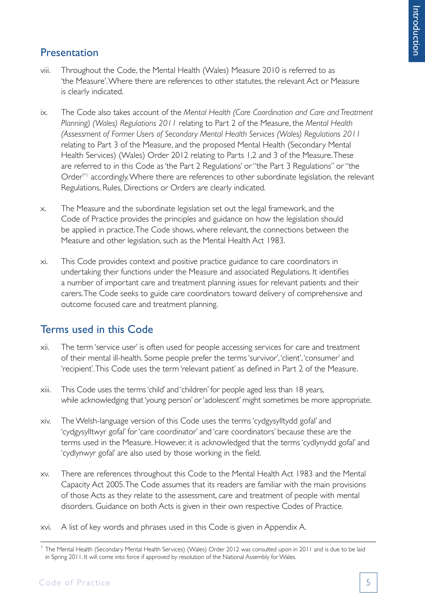# Presentation

- viii. Throughout the Code, the Mental Health (Wales) Measure 2010 is referred to as 'the Measure'. Where there are references to other statutes, the relevant Act or Measure is clearly indicated.
- ix. The Code also takes account of the *Mental Health (Care Coordination and Care and Treatment Planning) (Wales) Regulations 2011* relating to Part 2 of the Measure, the *Mental Health (Assessment of Former Users of Secondary Mental Health Services (Wales) Regulations 2011* relating to Part 3 of the Measure, and the proposed Mental Health (Secondary Mental Health Services) (Wales) Order 2012 relating to Parts 1,2 and 3 of the Measure. These are referred to in this Code as 'the Part 2 Regulations' or "the Part 3 Regulations" or "the Order"<sup>1</sup> accordingly. Where there are references to other subordinate legislation, the relevant Regulations, Rules, Directions or Orders are clearly indicated.
- x. The Measure and the subordinate legislation set out the legal framework, and the Code of Practice provides the principles and guidance on how the legislation should be applied in practice. The Code shows, where relevant, the connections between the Measure and other legislation, such as the Mental Health Act 1983.
- xi. This Code provides context and positive practice guidance to care coordinators in undertaking their functions under the Measure and associated Regulations. It identifies a number of important care and treatment planning issues for relevant patients and their carers. The Code seeks to guide care coordinators toward delivery of comprehensive and outcome focused care and treatment planning.

# Terms used in this Code

- xii. The term 'service user' is often used for people accessing services for care and treatment of their mental ill-health. Some people prefer the terms 'survivor', 'client', 'consumer' and 'recipient'. This Code uses the term 'relevant patient' as defined in Part 2 of the Measure.
- xiii. This Code uses the terms 'child' and 'children' for people aged less than 18 years, while acknowledging that 'young person' or 'adolescent' might sometimes be more appropriate.
- xiv. The Welsh-language version of this Code uses the terms 'cydgysylltydd gofal' and 'cydgysylltwyr gofal' for 'care coordinator' and 'care coordinators' because these are the terms used in the Measure. However, it is acknowledged that the terms 'cydlynydd gofal' and 'cydlynwyr gofal' are also used by those working in the field.
- xv. There are references throughout this Code to the Mental Health Act 1983 and the Mental Capacity Act 2005. The Code assumes that its readers are familiar with the main provisions of those Acts as they relate to the assessment, care and treatment of people with mental disorders. Guidance on both Acts is given in their own respective Codes of Practice.
- xvi. A list of key words and phrases used in this Code is given in Appendix A.

<sup>&</sup>lt;sup>1</sup> The Mental Health (Secondary Mental Health Services) (Wales) Order 2012 was consulted upon in 2011 and is due to be laid in Spring 2011. It will come into force if approved by resolution of the National Assembly for Wales.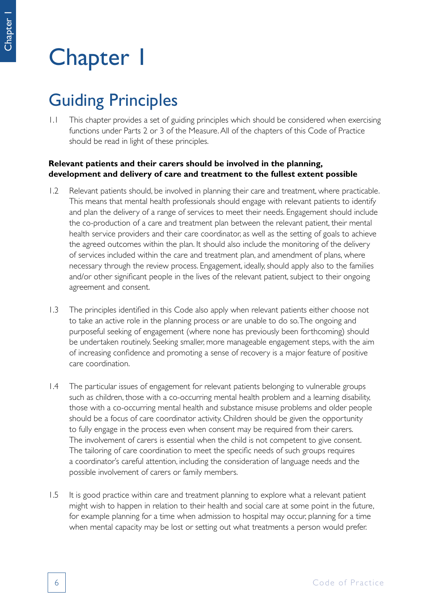# Chapter 1

# Guiding Principles

1.1 This chapter provides a set of guiding principles which should be considered when exercising functions under Parts 2 or 3 of the Measure. All of the chapters of this Code of Practice should be read in light of these principles.

#### **Relevant patients and their carers should be involved in the planning, development and delivery of care and treatment to the fullest extent possible**

- 1.2 Relevant patients should, be involved in planning their care and treatment, where practicable. This means that mental health professionals should engage with relevant patients to identify and plan the delivery of a range of services to meet their needs. Engagement should include the co-production of a care and treatment plan between the relevant patient, their mental health service providers and their care coordinator, as well as the setting of goals to achieve the agreed outcomes within the plan. It should also include the monitoring of the delivery of services included within the care and treatment plan, and amendment of plans, where necessary through the review process. Engagement, ideally, should apply also to the families and/or other significant people in the lives of the relevant patient, subject to their ongoing agreement and consent.
- 1.3 The principles identified in this Code also apply when relevant patients either choose not to take an active role in the planning process or are unable to do so. The ongoing and purposeful seeking of engagement (where none has previously been forthcoming) should be undertaken routinely. Seeking smaller, more manageable engagement steps, with the aim of increasing confidence and promoting a sense of recovery is a major feature of positive care coordination.
- 1.4 The particular issues of engagement for relevant patients belonging to vulnerable groups such as children, those with a co-occurring mental health problem and a learning disability, those with a co-occurring mental health and substance misuse problems and older people should be a focus of care coordinator activity. Children should be given the opportunity to fully engage in the process even when consent may be required from their carers. The involvement of carers is essential when the child is not competent to give consent. The tailoring of care coordination to meet the specific needs of such groups requires a coordinator's careful attention, including the consideration of language needs and the possible involvement of carers or family members.
- 1.5 It is good practice within care and treatment planning to explore what a relevant patient might wish to happen in relation to their health and social care at some point in the future, for example planning for a time when admission to hospital may occur, planning for a time when mental capacity may be lost or setting out what treatments a person would prefer.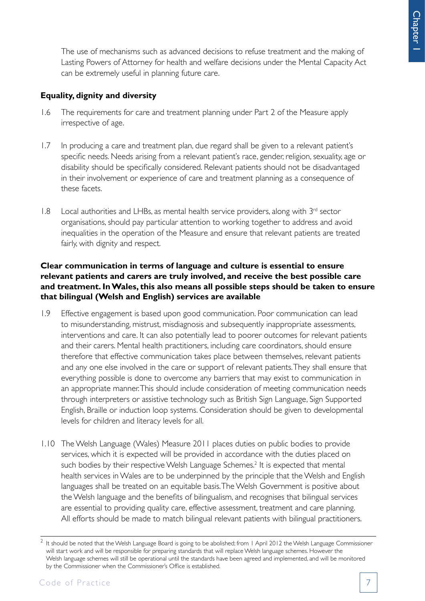The use of mechanisms such as advanced decisions to refuse treatment and the making of Lasting Powers of Attorney for health and welfare decisions under the Mental Capacity Act can be extremely useful in planning future care.

#### **Equality, dignity and diversity**

- 1.6 The requirements for care and treatment planning under Part 2 of the Measure apply irrespective of age.
- 1.7 In producing a care and treatment plan, due regard shall be given to a relevant patient's specific needs. Needs arising from a relevant patient's race, gender, religion, sexuality, age or disability should be specifically considered. Relevant patients should not be disadvantaged in their involvement or experience of care and treatment planning as a consequence of these facets.
- $1.8$  Local authorities and LHBs, as mental health service providers, along with  $3<sup>rd</sup>$  sector organisations, should pay particular attention to working together to address and avoid inequalities in the operation of the Measure and ensure that relevant patients are treated fairly, with dignity and respect.

#### **Clear communication in terms of language and culture is essential to ensure relevant patients and carers are truly involved, and receive the best possible care and treatment. In Wales, this also means all possible steps should be taken to ensure that bilingual (Welsh and English) services are available**

- 1.9 Effective engagement is based upon good communication. Poor communication can lead to misunderstanding, mistrust, misdiagnosis and subsequently inappropriate assessments, interventions and care. It can also potentially lead to poorer outcomes for relevant patients and their carers. Mental health practitioners, including care coordinators, should ensure therefore that effective communication takes place between themselves, relevant patients and any one else involved in the care or support of relevant patients. They shall ensure that everything possible is done to overcome any barriers that may exist to communication in an appropriate manner. This should include consideration of meeting communication needs through interpreters or assistive technology such as British Sign Language, Sign Supported English, Braille or induction loop systems. Consideration should be given to developmental levels for children and literacy levels for all.
- 1.10 The Welsh Language (Wales) Measure 2011 places duties on public bodies to provide services, which it is expected will be provided in accordance with the duties placed on such bodies by their respective Welsh Language Schemes.<sup>2</sup> It is expected that mental health services in Wales are to be underpinned by the principle that the Welsh and English languages shall be treated on an equitable basis. The Welsh Government is positive about the Welsh language and the benefits of bilingualism, and recognises that bilingual services are essential to providing quality care, effective assessment, treatment and care planning. All efforts should be made to match bilingual relevant patients with bilingual practitioners.

<sup>2</sup> It should be noted that the Welsh Language Board is going to be abolished; from 1 April 2012 the Welsh Language Commissioner will start work and will be responsible for preparing standards that will replace Welsh language schemes. However the Welsh language schemes will still be operational until the standards have been agreed and implemented, and will be monitored by the Commissioner when the Commissioner's Office is established.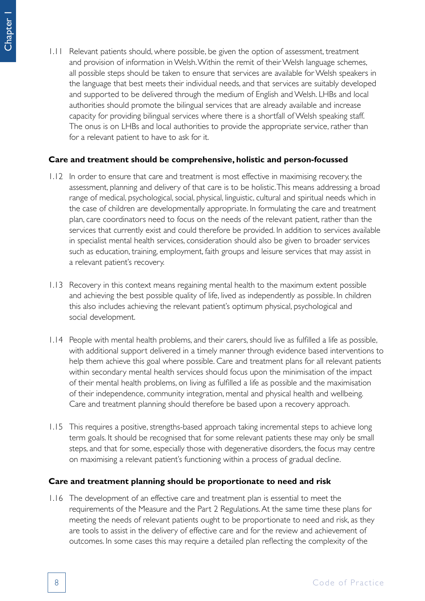- Chapter 1
- 1.11 Relevant patients should, where possible, be given the option of assessment, treatment and provision of information in Welsh. Within the remit of their Welsh language schemes, all possible steps should be taken to ensure that services are available for Welsh speakers in the language that best meets their individual needs, and that services are suitably developed and supported to be delivered through the medium of English and Welsh. LHBs and local authorities should promote the bilingual services that are already available and increase capacity for providing bilingual services where there is a shortfall of Welsh speaking staff. The onus is on LHBs and local authorities to provide the appropriate service, rather than for a relevant patient to have to ask for it.

#### **Care and treatment should be comprehensive, holistic and person-focussed**

- 1.12 In order to ensure that care and treatment is most effective in maximising recovery, the assessment, planning and delivery of that care is to be holistic. This means addressing a broad range of medical, psychological, social, physical, linguistic, cultural and spiritual needs which in the case of children are developmentally appropriate. In formulating the care and treatment plan, care coordinators need to focus on the needs of the relevant patient, rather than the services that currently exist and could therefore be provided. In addition to services available in specialist mental health services, consideration should also be given to broader services such as education, training, employment, faith groups and leisure services that may assist in a relevant patient's recovery.
- 1.13 Recovery in this context means regaining mental health to the maximum extent possible and achieving the best possible quality of life, lived as independently as possible. In children this also includes achieving the relevant patient's optimum physical, psychological and social development.
- 1.14 People with mental health problems, and their carers, should live as fulfilled a life as possible, with additional support delivered in a timely manner through evidence based interventions to help them achieve this goal where possible. Care and treatment plans for all relevant patients within secondary mental health services should focus upon the minimisation of the impact of their mental health problems, on living as fulfilled a life as possible and the maximisation of their independence, community integration, mental and physical health and wellbeing. Care and treatment planning should therefore be based upon a recovery approach.
- 1.15 This requires a positive, strengths-based approach taking incremental steps to achieve long term goals. It should be recognised that for some relevant patients these may only be small steps, and that for some, especially those with degenerative disorders, the focus may centre on maximising a relevant patient's functioning within a process of gradual decline.

#### **Care and treatment planning should be proportionate to need and risk**

1.16 The development of an effective care and treatment plan is essential to meet the requirements of the Measure and the Part 2 Regulations. At the same time these plans for meeting the needs of relevant patients ought to be proportionate to need and risk, as they are tools to assist in the delivery of effective care and for the review and achievement of outcomes. In some cases this may require a detailed plan reflecting the complexity of the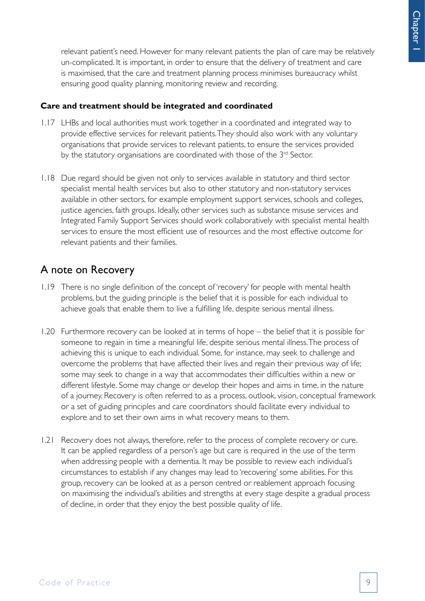relevant patient's need. However for many relevant patients the plan of care may be relatively un-complicated. It is important, in order to ensure that the delivery of treatment and care is maximised, that the care and treatment planning process minimises bureaucracy whilst ensuring good quality planning, monitoring review and recording.

#### **Care and treatment should be integrated and coordinated**

- 1.17 LHBs and local authorities must work together in a coordinated and integrated way to provide effective services for relevant patients. They should also work with any voluntary organisations that provide services to relevant patients, to ensure the services provided by the statutory organisations are coordinated with those of the 3<sup>rd</sup> Sector.
- 1.18 Due regard should be given not only to services available in statutory and third sector specialist mental health services but also to other statutory and non-statutory services available in other sectors, for example employment support services, schools and colleges, justice agencies, faith groups. Ideally, other services such as substance misuse services and Integrated Family Support Services should work collaboratively with specialist mental health services to ensure the most efficient use of resources and the most effective outcome for relevant patients and their families.

# A note on Recovery

- 1.19 There is no single definition of the concept of 'recovery' for people with mental health problems, but the guiding principle is the belief that it is possible for each individual to achieve goals that enable them to live a fulfilling life, despite serious mental illness.
- 1.20 Furthermore recovery can be looked at in terms of hope the belief that it is possible for someone to regain in time a meaningful life, despite serious mental illness. The process of achieving this is unique to each individual. Some, for instance, may seek to challenge and overcome the problems that have affected their lives and regain their previous way of life; some may seek to change in a way that accommodates their difficulties within a new or different lifestyle. Some may change or develop their hopes and aims in time, in the nature of a journey. Recovery is often referred to as a process, outlook, vision, conceptual framework or a set of guiding principles and care coordinators should facilitate every individual to explore and to set their own aims in what recovery means to them.
- 1.21 Recovery does not always, therefore, refer to the process of complete recovery or cure. It can be applied regardless of a person's age but care is required in the use of the term when addressing people with a dementia. It may be possible to review each individual's circumstances to establish if any changes may lead to 'recovering' some abilities. For this group, recovery can be looked at as a person centred or reablement approach focusing on maximising the individual's abilities and strengths at every stage despite a gradual process of decline, in order that they enjoy the best possible quality of life.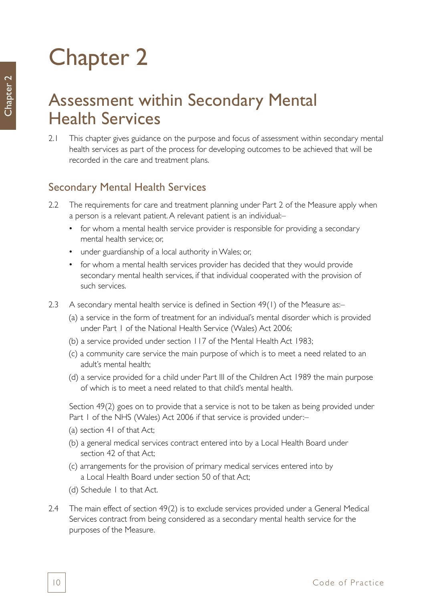# Chapter 2

# Assessment within Secondary Mental Health Services

2.1 This chapter gives guidance on the purpose and focus of assessment within secondary mental health services as part of the process for developing outcomes to be achieved that will be recorded in the care and treatment plans.

# Secondary Mental Health Services

- 2.2 The requirements for care and treatment planning under Part 2 of the Measure apply when a person is a relevant patient. A relevant patient is an individual:–
	- for whom a mental health service provider is responsible for providing a secondary mental health service; or,
	- under guardianship of a local authority in Wales; or,
	- for whom a mental health services provider has decided that they would provide secondary mental health services, if that individual cooperated with the provision of such services.
- 2.3 A secondary mental health service is defined in Section 49(1) of the Measure as:-
	- (a) a service in the form of treatment for an individual's mental disorder which is provided under Part 1 of the National Health Service (Wales) Act 2006;
	- (b) a service provided under section 117 of the Mental Health Act 1983;
	- (c) a community care service the main purpose of which is to meet a need related to an adult's mental health;
	- (d) a service provided for a child under Part III of the Children Act 1989 the main purpose of which is to meet a need related to that child's mental health.

Section 49(2) goes on to provide that a service is not to be taken as being provided under Part 1 of the NHS (Wales) Act 2006 if that service is provided under:-

- (a) section 41 of that Act;
- (b) a general medical services contract entered into by a Local Health Board under section 42 of that Act;
- (c) arrangements for the provision of primary medical services entered into by a Local Health Board under section 50 of that Act;
- (d) Schedule 1 to that Act.
- 2.4 The main effect of section 49(2) is to exclude services provided under a General Medical Services contract from being considered as a secondary mental health service for the purposes of the Measure.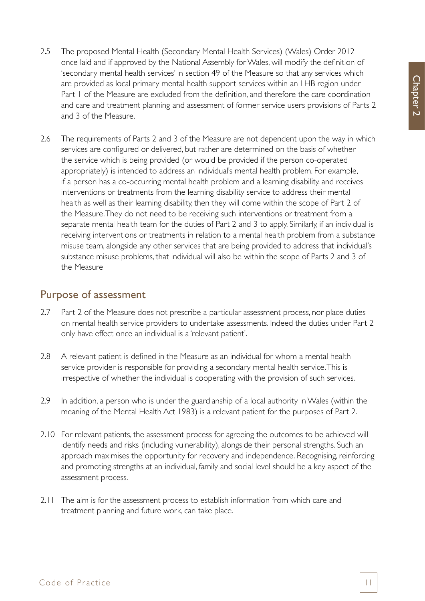- 2.5 The proposed Mental Health (Secondary Mental Health Services) (Wales) Order 2012 once laid and if approved by the National Assembly for Wales, will modify the definition of 'secondary mental health services' in section 49 of the Measure so that any services which are provided as local primary mental health support services within an LHB region under Part 1 of the Measure are excluded from the definition, and therefore the care coordination and care and treatment planning and assessment of former service users provisions of Parts 2 and 3 of the Measure.
- 2.6 The requirements of Parts 2 and 3 of the Measure are not dependent upon the way in which services are configured or delivered, but rather are determined on the basis of whether the service which is being provided (or would be provided if the person co-operated appropriately) is intended to address an individual's mental health problem. For example, if a person has a co-occurring mental health problem and a learning disability, and receives interventions or treatments from the learning disability service to address their mental health as well as their learning disability, then they will come within the scope of Part 2 of the Measure. They do not need to be receiving such interventions or treatment from a separate mental health team for the duties of Part 2 and 3 to apply. Similarly, if an individual is receiving interventions or treatments in relation to a mental health problem from a substance misuse team, alongside any other services that are being provided to address that individual's substance misuse problems, that individual will also be within the scope of Parts 2 and 3 of the Measure

# Purpose of assessment

- 2.7 Part 2 of the Measure does not prescribe a particular assessment process, nor place duties on mental health service providers to undertake assessments. Indeed the duties under Part 2 only have effect once an individual is a 'relevant patient'.
- 2.8 A relevant patient is defined in the Measure as an individual for whom a mental health service provider is responsible for providing a secondary mental health service. This is irrespective of whether the individual is cooperating with the provision of such services.
- 2.9 In addition, a person who is under the guardianship of a local authority in Wales (within the meaning of the Mental Health Act 1983) is a relevant patient for the purposes of Part 2.
- 2.10 For relevant patients, the assessment process for agreeing the outcomes to be achieved will identify needs and risks (including vulnerability), alongside their personal strengths. Such an approach maximises the opportunity for recovery and independence. Recognising, reinforcing and promoting strengths at an individual, family and social level should be a key aspect of the assessment process.
- 2.11 The aim is for the assessment process to establish information from which care and treatment planning and future work, can take place.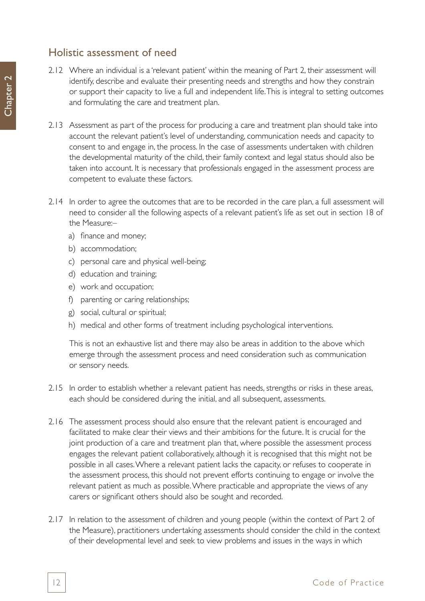## Holistic assessment of need

- 2.12 Where an individual is a 'relevant patient' within the meaning of Part 2, their assessment will identify, describe and evaluate their presenting needs and strengths and how they constrain or support their capacity to live a full and independent life. This is integral to setting outcomes and formulating the care and treatment plan.
- 2.13 Assessment as part of the process for producing a care and treatment plan should take into account the relevant patient's level of understanding, communication needs and capacity to consent to and engage in, the process. In the case of assessments undertaken with children the developmental maturity of the child, their family context and legal status should also be taken into account. It is necessary that professionals engaged in the assessment process are competent to evaluate these factors.
- 2.14 In order to agree the outcomes that are to be recorded in the care plan, a full assessment will need to consider all the following aspects of a relevant patient's life as set out in section 18 of the Measure:–
	- a) finance and money;
	- b) accommodation;
	- c) personal care and physical well-being;
	- d) education and training;
	- e) work and occupation;
	- f) parenting or caring relationships;
	- g) social, cultural or spiritual;
	- h) medical and other forms of treatment including psychological interventions.

This is not an exhaustive list and there may also be areas in addition to the above which emerge through the assessment process and need consideration such as communication or sensory needs.

- 2.15 In order to establish whether a relevant patient has needs, strengths or risks in these areas, each should be considered during the initial, and all subsequent, assessments.
- 2.16 The assessment process should also ensure that the relevant patient is encouraged and facilitated to make clear their views and their ambitions for the future. It is crucial for the joint production of a care and treatment plan that, where possible the assessment process engages the relevant patient collaboratively, although it is recognised that this might not be possible in all cases. Where a relevant patient lacks the capacity, or refuses to cooperate in the assessment process, this should not prevent efforts continuing to engage or involve the relevant patient as much as possible. Where practicable and appropriate the views of any carers or significant others should also be sought and recorded.
- 2.17 In relation to the assessment of children and young people (within the context of Part 2 of the Measure), practitioners undertaking assessments should consider the child in the context of their developmental level and seek to view problems and issues in the ways in which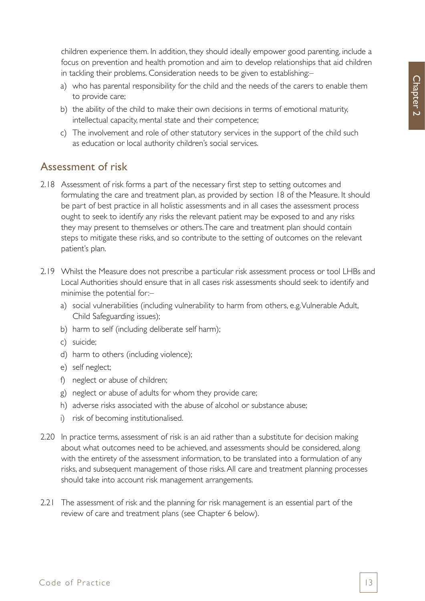children experience them. In addition, they should ideally empower good parenting, include a focus on prevention and health promotion and aim to develop relationships that aid children in tackling their problems. Consideration needs to be given to establishing:–

- a) who has parental responsibility for the child and the needs of the carers to enable them to provide care;
- b) the ability of the child to make their own decisions in terms of emotional maturity, intellectual capacity, mental state and their competence;
- c) The involvement and role of other statutory services in the support of the child such as education or local authority children's social services.

## Assessment of risk

- 2.18 Assessment of risk forms a part of the necessary first step to setting outcomes and formulating the care and treatment plan, as provided by section 18 of the Measure. It should be part of best practice in all holistic assessments and in all cases the assessment process ought to seek to identify any risks the relevant patient may be exposed to and any risks they may present to themselves or others. The care and treatment plan should contain steps to mitigate these risks, and so contribute to the setting of outcomes on the relevant patient's plan.
- 2.19 Whilst the Measure does not prescribe a particular risk assessment process or tool LHBs and Local Authorities should ensure that in all cases risk assessments should seek to identify and minimise the potential for:–
	- a) social vulnerabilities (including vulnerability to harm from others, e.g. Vulnerable Adult, Child Safeguarding issues);
	- b) harm to self (including deliberate self harm);
	- c) suicide;
	- d) harm to others (including violence);
	- e) self neglect;
	- f) neglect or abuse of children;
	- g) neglect or abuse of adults for whom they provide care;
	- h) adverse risks associated with the abuse of alcohol or substance abuse;
	- i) risk of becoming institutionalised.
- 2.20 In practice terms, assessment of risk is an aid rather than a substitute for decision making about what outcomes need to be achieved, and assessments should be considered, along with the entirety of the assessment information, to be translated into a formulation of any risks, and subsequent management of those risks. All care and treatment planning processes should take into account risk management arrangements.
- 2.21 The assessment of risk and the planning for risk management is an essential part of the review of care and treatment plans (see Chapter 6 below).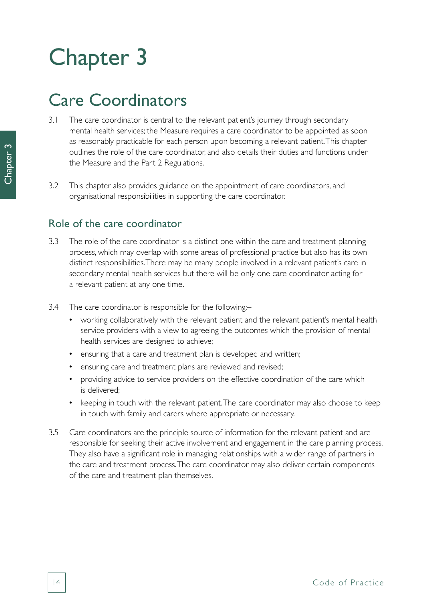# Chapter 3

# Care Coordinators

- 3.1 The care coordinator is central to the relevant patient's journey through secondary mental health services; the Measure requires a care coordinator to be appointed as soon as reasonably practicable for each person upon becoming a relevant patient. This chapter outlines the role of the care coordinator, and also details their duties and functions under the Measure and the Part 2 Regulations.
- 3.2 This chapter also provides guidance on the appointment of care coordinators, and organisational responsibilities in supporting the care coordinator.

## Role of the care coordinator

- 3.3 The role of the care coordinator is a distinct one within the care and treatment planning process, which may overlap with some areas of professional practice but also has its own distinct responsibilities. There may be many people involved in a relevant patient's care in secondary mental health services but there will be only one care coordinator acting for a relevant patient at any one time.
- 3.4 The care coordinator is responsible for the following:–
	- working collaboratively with the relevant patient and the relevant patient's mental health service providers with a view to agreeing the outcomes which the provision of mental health services are designed to achieve;
	- ensuring that a care and treatment plan is developed and written;
	- ensuring care and treatment plans are reviewed and revised;
	- providing advice to service providers on the effective coordination of the care which is delivered;
	- keeping in touch with the relevant patient. The care coordinator may also choose to keep in touch with family and carers where appropriate or necessary.
- 3.5 Care coordinators are the principle source of information for the relevant patient and are responsible for seeking their active involvement and engagement in the care planning process. They also have a significant role in managing relationships with a wider range of partners in the care and treatment process. The care coordinator may also deliver certain components of the care and treatment plan themselves.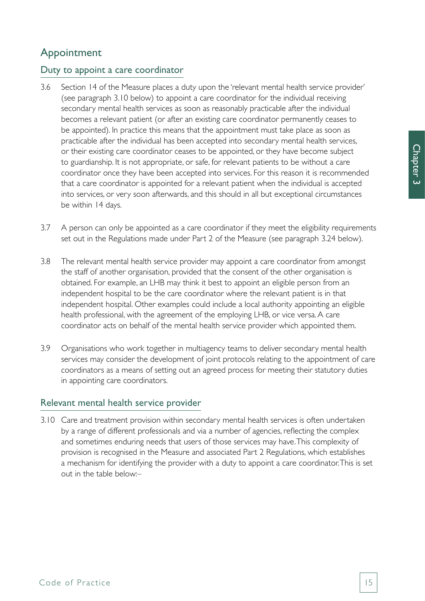# Appointment

#### Duty to appoint a care coordinator

- 3.6 Section 14 of the Measure places a duty upon the 'relevant mental health service provider' (see paragraph 3.10 below) to appoint a care coordinator for the individual receiving secondary mental health services as soon as reasonably practicable after the individual becomes a relevant patient (or after an existing care coordinator permanently ceases to be appointed). In practice this means that the appointment must take place as soon as practicable after the individual has been accepted into secondary mental health services, or their existing care coordinator ceases to be appointed, or they have become subject to guardianship. It is not appropriate, or safe, for relevant patients to be without a care coordinator once they have been accepted into services. For this reason it is recommended that a care coordinator is appointed for a relevant patient when the individual is accepted into services, or very soon afterwards, and this should in all but exceptional circumstances be within 14 days.
- 3.7 A person can only be appointed as a care coordinator if they meet the eligibility requirements set out in the Regulations made under Part 2 of the Measure (see paragraph 3.24 below).
- 3.8 The relevant mental health service provider may appoint a care coordinator from amongst the staff of another organisation, provided that the consent of the other organisation is obtained. For example, an LHB may think it best to appoint an eligible person from an independent hospital to be the care coordinator where the relevant patient is in that independent hospital. Other examples could include a local authority appointing an eligible health professional, with the agreement of the employing LHB, or vice versa. A care coordinator acts on behalf of the mental health service provider which appointed them.
- 3.9 Organisations who work together in multiagency teams to deliver secondary mental health services may consider the development of joint protocols relating to the appointment of care coordinators as a means of setting out an agreed process for meeting their statutory duties in appointing care coordinators.

#### Relevant mental health service provider

3.10 Care and treatment provision within secondary mental health services is often undertaken by a range of different professionals and via a number of agencies, reflecting the complex and sometimes enduring needs that users of those services may have. This complexity of provision is recognised in the Measure and associated Part 2 Regulations, which establishes a mechanism for identifying the provider with a duty to appoint a care coordinator. This is set out in the table below:–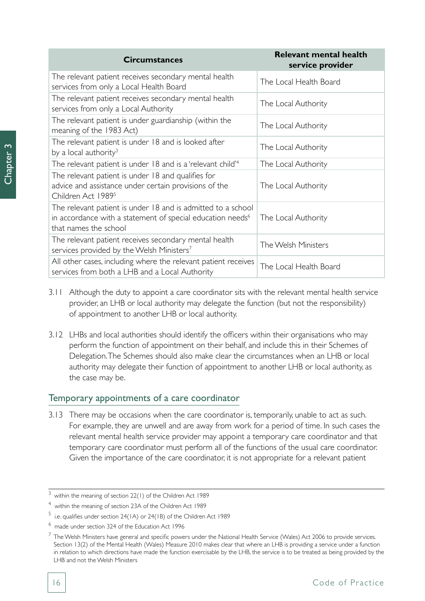| <b>Circumstances</b>                                                                                                                                            | <b>Relevant mental health</b><br>service provider |
|-----------------------------------------------------------------------------------------------------------------------------------------------------------------|---------------------------------------------------|
| The relevant patient receives secondary mental health<br>services from only a Local Health Board                                                                | The Local Health Board                            |
| The relevant patient receives secondary mental health<br>services from only a Local Authority                                                                   | The Local Authority                               |
| The relevant patient is under guardianship (within the<br>meaning of the 1983 Act)                                                                              | The Local Authority                               |
| The relevant patient is under 18 and is looked after<br>by a local authority <sup>3</sup>                                                                       | The Local Authority                               |
| The relevant patient is under 18 and is a 'relevant child' <sup>4</sup>                                                                                         | The Local Authority                               |
| The relevant patient is under 18 and qualifies for<br>advice and assistance under certain provisions of the<br>Children Act 1989 <sup>5</sup>                   | The Local Authority                               |
| The relevant patient is under 18 and is admitted to a school<br>in accordance with a statement of special education needs <sup>6</sup><br>that names the school | The Local Authority                               |
| The relevant patient receives secondary mental health<br>services provided by the Welsh Ministers <sup>7</sup>                                                  | The Welsh Ministers                               |
| All other cases, including where the relevant patient receives<br>services from both a LHB and a Local Authority                                                | The Local Health Board                            |

- 3.11 Although the duty to appoint a care coordinator sits with the relevant mental health service provider, an LHB or local authority may delegate the function (but not the responsibility) of appointment to another LHB or local authority.
- 3.12 LHBs and local authorities should identify the officers within their organisations who may perform the function of appointment on their behalf, and include this in their Schemes of Delegation. The Schemes should also make clear the circumstances when an LHB or local authority may delegate their function of appointment to another LHB or local authority, as the case may be.

### Temporary appointments of a care coordinator

3.13 There may be occasions when the care coordinator is, temporarily, unable to act as such. For example, they are unwell and are away from work for a period of time. In such cases the relevant mental health service provider may appoint a temporary care coordinator and that temporary care coordinator must perform all of the functions of the usual care coordinator. Given the importance of the care coordinator, it is not appropriate for a relevant patient

<sup>3</sup> within the meaning of section 22(1) of the Children Act 1989

<sup>4</sup> within the meaning of section 23A of the Children Act 1989

 $^5$  i.e. qualifies under section 24(1A) or 24(1B) of the Children Act 1989

<sup>&</sup>lt;sup>6</sup> made under section 324 of the Education Act 1996

 $^7$  The Welsh Ministers have general and specific powers under the National Health Service (Wales) Act 2006 to provide services. Section 13(2) of the Mental Health (Wales) Measure 2010 makes clear that where an LHB is providing a service under a function in relation to which directions have made the function exercisable by the LHB, the service is to be treated as being provided by the LHB and not the Welsh Ministers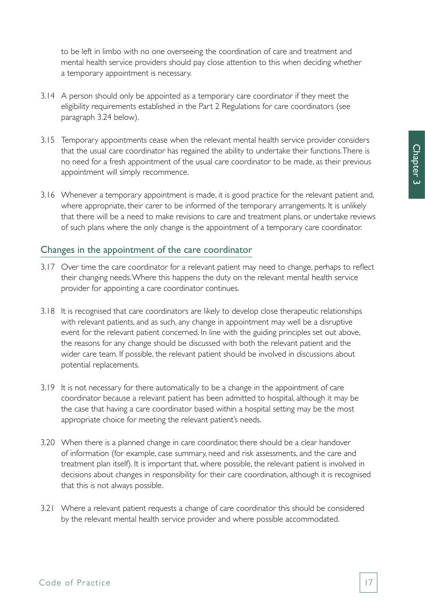to be left in limbo with no one overseeing the coordination of care and treatment and mental health service providers should pay close attention to this when deciding whether a temporary appointment is necessary.

- 3.14 A person should only be appointed as a temporary care coordinator if they meet the eligibility requirements established in the Part 2 Regulations for care coordinators (see paragraph 3.24 below).
- 3.15 Temporary appointments cease when the relevant mental health service provider considers that the usual care coordinator has regained the ability to undertake their functions. There is no need for a fresh appointment of the usual care coordinator to be made, as their previous appointment will simply recommence.
- 3.16 Whenever a temporary appointment is made, it is good practice for the relevant patient and, where appropriate, their carer to be informed of the temporary arrangements. It is unlikely that there will be a need to make revisions to care and treatment plans, or undertake reviews of such plans where the only change is the appointment of a temporary care coordinator.

#### Changes in the appointment of the care coordinator

- 3.17 Over time the care coordinator for a relevant patient may need to change, perhaps to reflect their changing needs. Where this happens the duty on the relevant mental health service provider for appointing a care coordinator continues.
- 3.18 It is recognised that care coordinators are likely to develop close therapeutic relationships with relevant patients, and as such, any change in appointment may well be a disruptive event for the relevant patient concerned. In line with the guiding principles set out above, the reasons for any change should be discussed with both the relevant patient and the wider care team. If possible, the relevant patient should be involved in discussions about potential replacements.
- 3.19 It is not necessary for there automatically to be a change in the appointment of care coordinator because a relevant patient has been admitted to hospital, although it may be the case that having a care coordinator based within a hospital setting may be the most appropriate choice for meeting the relevant patient's needs.
- 3.20 When there is a planned change in care coordinator, there should be a clear handover of information (for example, case summary, need and risk assessments, and the care and treatment plan itself). It is important that, where possible, the relevant patient is involved in decisions about changes in responsibility for their care coordination, although it is recognised that this is not always possible.
- 3.21 Where a relevant patient requests a change of care coordinator this should be considered by the relevant mental health service provider and where possible accommodated.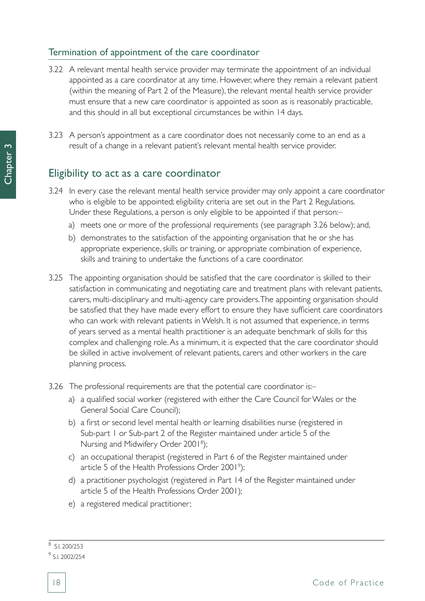### Termination of appointment of the care coordinator

- 3.22 A relevant mental health service provider may terminate the appointment of an individual appointed as a care coordinator at any time. However, where they remain a relevant patient (within the meaning of Part 2 of the Measure), the relevant mental health service provider must ensure that a new care coordinator is appointed as soon as is reasonably practicable, and this should in all but exceptional circumstances be within 14 days.
- 3.23 A person's appointment as a care coordinator does not necessarily come to an end as a result of a change in a relevant patient's relevant mental health service provider.

### Eligibility to act as a care coordinator

- 3.24 In every case the relevant mental health service provider may only appoint a care coordinator who is eligible to be appointed; eligibility criteria are set out in the Part 2 Regulations. Under these Regulations, a person is only eligible to be appointed if that person:–
	- a) meets one or more of the professional requirements (see paragraph 3.26 below); and,
	- b) demonstrates to the satisfaction of the appointing organisation that he or she has appropriate experience, skills or training, or appropriate combination of experience, skills and training to undertake the functions of a care coordinator.
- 3.25 The appointing organisation should be satisfied that the care coordinator is skilled to their satisfaction in communicating and negotiating care and treatment plans with relevant patients, carers, multi-disciplinary and multi-agency care providers. The appointing organisation should be satisfied that they have made every effort to ensure they have sufficient care coordinators who can work with relevant patients in Welsh. It is not assumed that experience, in terms of years served as a mental health practitioner is an adequate benchmark of skills for this complex and challenging role. As a minimum, it is expected that the care coordinator should be skilled in active involvement of relevant patients, carers and other workers in the care planning process.
- 3.26 The professional requirements are that the potential care coordinator is:–
	- a) a qualified social worker (registered with either the Care Council for Wales or the General Social Care Council);
	- b) a first or second level mental health or learning disabilities nurse (registered in Sub-part 1 or Sub-part 2 of the Register maintained under article 5 of the Nursing and Midwifery Order 2001<sup>8</sup>);
	- c) an occupational therapist (registered in Part 6 of the Register maintained under article 5 of the Health Professions Order 2001 $^{\circ}$ );
	- d) a practitioner psychologist (registered in Part 14 of the Register maintained under article 5 of the Health Professions Order 2001);
	- e) a registered medical practitioner;

 $\overline{8}$  S.I. 200/253

<sup>9</sup> S.I. 2002/254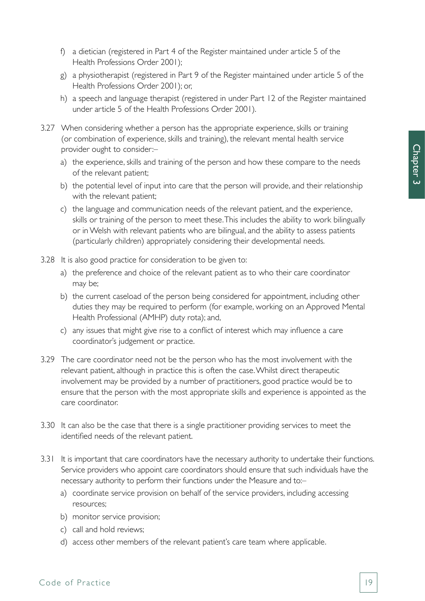- f) a dietician (registered in Part 4 of the Register maintained under article 5 of the Health Professions Order 2001);
- g) a physiotherapist (registered in Part 9 of the Register maintained under article 5 of the Health Professions Order 2001); or,
- h) a speech and language therapist (registered in under Part 12 of the Register maintained under article 5 of the Health Professions Order 2001).
- 3.27 When considering whether a person has the appropriate experience, skills or training (or combination of experience, skills and training), the relevant mental health service provider ought to consider:–
	- a) the experience, skills and training of the person and how these compare to the needs of the relevant patient;
	- b) the potential level of input into care that the person will provide, and their relationship with the relevant patient;
	- c) the language and communication needs of the relevant patient, and the experience, skills or training of the person to meet these. This includes the ability to work bilingually or in Welsh with relevant patients who are bilingual, and the ability to assess patients (particularly children) appropriately considering their developmental needs.
- 3.28 It is also good practice for consideration to be given to:
	- a) the preference and choice of the relevant patient as to who their care coordinator may be;
	- b) the current caseload of the person being considered for appointment, including other duties they may be required to perform (for example, working on an Approved Mental Health Professional (AMHP) duty rota); and,
	- c) any issues that might give rise to a conflict of interest which may influence a care coordinator's judgement or practice.
- 3.29 The care coordinator need not be the person who has the most involvement with the relevant patient, although in practice this is often the case. Whilst direct therapeutic involvement may be provided by a number of practitioners, good practice would be to ensure that the person with the most appropriate skills and experience is appointed as the care coordinator.
- 3.30 It can also be the case that there is a single practitioner providing services to meet the identified needs of the relevant patient.
- 3.31 It is important that care coordinators have the necessary authority to undertake their functions. Service providers who appoint care coordinators should ensure that such individuals have the necessary authority to perform their functions under the Measure and to:–
	- a) coordinate service provision on behalf of the service providers, including accessing resources;
	- b) monitor service provision;
	- c) call and hold reviews;
	- d) access other members of the relevant patient's care team where applicable.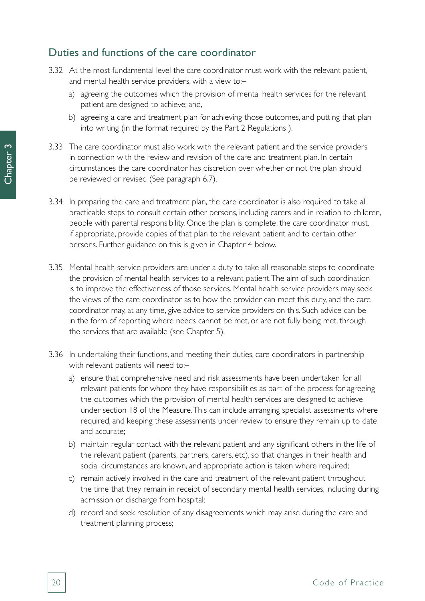## Duties and functions of the care coordinator

- 3.32 At the most fundamental level the care coordinator must work with the relevant patient, and mental health service providers, with a view to:
	- a) agreeing the outcomes which the provision of mental health services for the relevant patient are designed to achieve; and,
	- b) agreeing a care and treatment plan for achieving those outcomes, and putting that plan into writing (in the format required by the Part 2 Regulations ).
- 3.33 The care coordinator must also work with the relevant patient and the service providers in connection with the review and revision of the care and treatment plan. In certain circumstances the care coordinator has discretion over whether or not the plan should be reviewed or revised (See paragraph 6.7).
- 3.34 In preparing the care and treatment plan, the care coordinator is also required to take all practicable steps to consult certain other persons, including carers and in relation to children, people with parental responsibility. Once the plan is complete, the care coordinator must, if appropriate, provide copies of that plan to the relevant patient and to certain other persons. Further guidance on this is given in Chapter 4 below.
- 3.35 Mental health service providers are under a duty to take all reasonable steps to coordinate the provision of mental health services to a relevant patient. The aim of such coordination is to improve the effectiveness of those services. Mental health service providers may seek the views of the care coordinator as to how the provider can meet this duty, and the care coordinator may, at any time, give advice to service providers on this. Such advice can be in the form of reporting where needs cannot be met, or are not fully being met, through the services that are available (see Chapter 5).
- 3.36 In undertaking their functions, and meeting their duties, care coordinators in partnership with relevant patients will need to:
	- a) ensure that comprehensive need and risk assessments have been undertaken for all relevant patients for whom they have responsibilities as part of the process for agreeing the outcomes which the provision of mental health services are designed to achieve under section 18 of the Measure. This can include arranging specialist assessments where required, and keeping these assessments under review to ensure they remain up to date and accurate;
	- b) maintain regular contact with the relevant patient and any significant others in the life of the relevant patient (parents, partners, carers, etc), so that changes in their health and social circumstances are known, and appropriate action is taken where required;
	- c) remain actively involved in the care and treatment of the relevant patient throughout the time that they remain in receipt of secondary mental health services, including during admission or discharge from hospital;
	- d) record and seek resolution of any disagreements which may arise during the care and treatment planning process;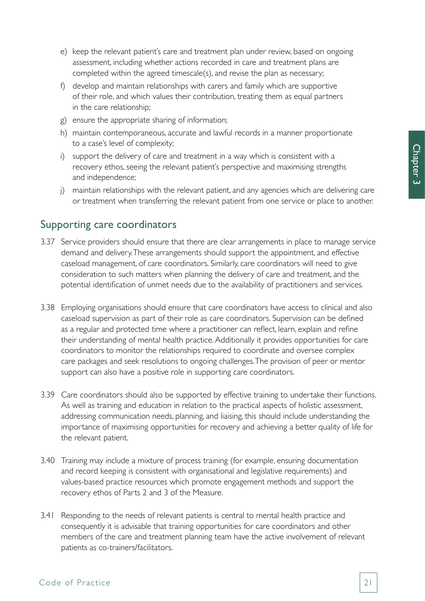- e) keep the relevant patient's care and treatment plan under review, based on ongoing assessment, including whether actions recorded in care and treatment plans are completed within the agreed timescale(s), and revise the plan as necessary;
- f) develop and maintain relationships with carers and family which are supportive of their role, and which values their contribution, treating them as equal partners in the care relationship;
- g) ensure the appropriate sharing of information;
- h) maintain contemporaneous, accurate and lawful records in a manner proportionate to a case's level of complexity;
- i) support the delivery of care and treatment in a way which is consistent with a recovery ethos, seeing the relevant patient's perspective and maximising strengths and independence;
- j) maintain relationships with the relevant patient, and any agencies which are delivering care or treatment when transferring the relevant patient from one service or place to another.

## Supporting care coordinators

- 3.37 Service providers should ensure that there are clear arrangements in place to manage service demand and delivery. These arrangements should support the appointment, and effective caseload management, of care coordinators. Similarly, care coordinators will need to give consideration to such matters when planning the delivery of care and treatment, and the potential identification of unmet needs due to the availability of practitioners and services.
- 3.38 Employing organisations should ensure that care coordinators have access to clinical and also caseload supervision as part of their role as care coordinators. Supervision can be defined as a regular and protected time where a practitioner can reflect, learn, explain and refine their understanding of mental health practice. Additionally it provides opportunities for care coordinators to monitor the relationships required to coordinate and oversee complex care packages and seek resolutions to ongoing challenges. The provision of peer or mentor support can also have a positive role in supporting care coordinators.
- 3.39 Care coordinators should also be supported by effective training to undertake their functions. As well as training and education in relation to the practical aspects of holistic assessment, addressing communication needs, planning, and liaising, this should include understanding the importance of maximising opportunities for recovery and achieving a better quality of life for the relevant patient.
- 3.40 Training may include a mixture of process training (for example, ensuring documentation and record keeping is consistent with organisational and legislative requirements) and values-based practice resources which promote engagement methods and support the recovery ethos of Parts 2 and 3 of the Measure.
- 3.41 Responding to the needs of relevant patients is central to mental health practice and consequently it is advisable that training opportunities for care coordinators and other members of the care and treatment planning team have the active involvement of relevant patients as co-trainers/facilitators.

#### Code of Practice 21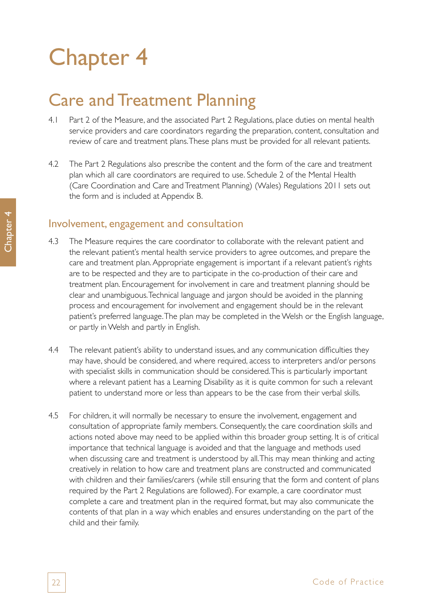# Chapter 4

# Care and Treatment Planning

- 4.1 Part 2 of the Measure, and the associated Part 2 Regulations, place duties on mental health service providers and care coordinators regarding the preparation, content, consultation and review of care and treatment plans. These plans must be provided for all relevant patients.
- 4.2 The Part 2 Regulations also prescribe the content and the form of the care and treatment plan which all care coordinators are required to use. Schedule 2 of the Mental Health (Care Coordination and Care and Treatment Planning) (Wales) Regulations 2011 sets out the form and is included at Appendix B.

### Involvement, engagement and consultation

- 4.3 The Measure requires the care coordinator to collaborate with the relevant patient and the relevant patient's mental health service providers to agree outcomes, and prepare the care and treatment plan. Appropriate engagement is important if a relevant patient's rights are to be respected and they are to participate in the co-production of their care and treatment plan. Encouragement for involvement in care and treatment planning should be clear and unambiguous. Technical language and jargon should be avoided in the planning process and encouragement for involvement and engagement should be in the relevant patient's preferred language. The plan may be completed in the Welsh or the English language, or partly in Welsh and partly in English.
- 4.4 The relevant patient's ability to understand issues, and any communication difficulties they may have, should be considered, and where required, access to interpreters and/or persons with specialist skills in communication should be considered. This is particularly important where a relevant patient has a Learning Disability as it is quite common for such a relevant patient to understand more or less than appears to be the case from their verbal skills.
- 4.5 For children, it will normally be necessary to ensure the involvement, engagement and consultation of appropriate family members. Consequently, the care coordination skills and actions noted above may need to be applied within this broader group setting. It is of critical importance that technical language is avoided and that the language and methods used when discussing care and treatment is understood by all. This may mean thinking and acting creatively in relation to how care and treatment plans are constructed and communicated with children and their families/carers (while still ensuring that the form and content of plans required by the Part 2 Regulations are followed). For example, a care coordinator must complete a care and treatment plan in the required format, but may also communicate the contents of that plan in a way which enables and ensures understanding on the part of the child and their family.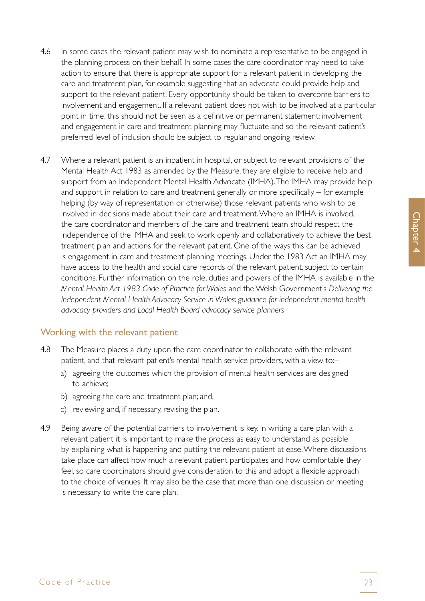- 4.6 In some cases the relevant patient may wish to nominate a representative to be engaged in the planning process on their behalf. In some cases the care coordinator may need to take action to ensure that there is appropriate support for a relevant patient in developing the care and treatment plan, for example suggesting that an advocate could provide help and support to the relevant patient. Every opportunity should be taken to overcome barriers to involvement and engagement. If a relevant patient does not wish to be involved at a particular point in time, this should not be seen as a definitive or permanent statement; involvement and engagement in care and treatment planning may fluctuate and so the relevant patient's preferred level of inclusion should be subject to regular and ongoing review.
- 4.7 Where a relevant patient is an inpatient in hospital, or subject to relevant provisions of the Mental Health Act 1983 as amended by the Measure, they are eligible to receive help and support from an Independent Mental Health Advocate (IMHA). The IMHA may provide help and support in relation to care and treatment generally or more specifically – for example helping (by way of representation or otherwise) those relevant patients who wish to be involved in decisions made about their care and treatment. Where an IMHA is involved, the care coordinator and members of the care and treatment team should respect the independence of the IMHA and seek to work openly and collaboratively to achieve the best treatment plan and actions for the relevant patient. One of the ways this can be achieved is engagement in care and treatment planning meetings. Under the 1983 Act an IMHA may have access to the health and social care records of the relevant patient, subject to certain conditions. Further information on the role, duties and powers of the IMHA is available in the *Mental Health Act 1983 Code of Practice for Wales* and the Welsh Government's *Delivering the Independent Mental Health Advocacy Service in Wales: guidance for independent mental health advocacy providers and Local Health Board advocacy service planners.*

### Working with the relevant patient

- 4.8 The Measure places a duty upon the care coordinator to collaborate with the relevant patient, and that relevant patient's mental health service providers, with a view to:–
	- a) agreeing the outcomes which the provision of mental health services are designed to achieve;
	- b) agreeing the care and treatment plan; and,
	- c) reviewing and, if necessary, revising the plan.
- 4.9 Being aware of the potential barriers to involvement is key. In writing a care plan with a relevant patient it is important to make the process as easy to understand as possible, by explaining what is happening and putting the relevant patient at ease. Where discussions take place can affect how much a relevant patient participates and how comfortable they feel, so care coordinators should give consideration to this and adopt a flexible approach to the choice of venues. It may also be the case that more than one discussion or meeting is necessary to write the care plan.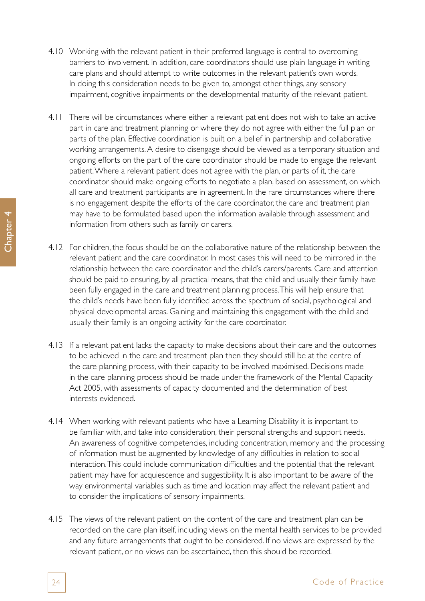- 4.10 Working with the relevant patient in their preferred language is central to overcoming barriers to involvement. In addition, care coordinators should use plain language in writing care plans and should attempt to write outcomes in the relevant patient's own words. In doing this consideration needs to be given to, amongst other things, any sensory impairment, cognitive impairments or the developmental maturity of the relevant patient.
- 4.11 There will be circumstances where either a relevant patient does not wish to take an active part in care and treatment planning or where they do not agree with either the full plan or parts of the plan. Effective coordination is built on a belief in partnership and collaborative working arrangements. A desire to disengage should be viewed as a temporary situation and ongoing efforts on the part of the care coordinator should be made to engage the relevant patient. Where a relevant patient does not agree with the plan, or parts of it, the care coordinator should make ongoing efforts to negotiate a plan, based on assessment, on which all care and treatment participants are in agreement. In the rare circumstances where there is no engagement despite the efforts of the care coordinator, the care and treatment plan may have to be formulated based upon the information available through assessment and information from others such as family or carers.
- 4.12 For children, the focus should be on the collaborative nature of the relationship between the relevant patient and the care coordinator. In most cases this will need to be mirrored in the relationship between the care coordinator and the child's carers/parents. Care and attention should be paid to ensuring, by all practical means, that the child and usually their family have been fully engaged in the care and treatment planning process. This will help ensure that the child's needs have been fully identified across the spectrum of social, psychological and physical developmental areas. Gaining and maintaining this engagement with the child and usually their family is an ongoing activity for the care coordinator.
- 4.13 If a relevant patient lacks the capacity to make decisions about their care and the outcomes to be achieved in the care and treatment plan then they should still be at the centre of the care planning process, with their capacity to be involved maximised. Decisions made in the care planning process should be made under the framework of the Mental Capacity Act 2005, with assessments of capacity documented and the determination of best interests evidenced.
- 4.14 When working with relevant patients who have a Learning Disability it is important to be familiar with, and take into consideration, their personal strengths and support needs. An awareness of cognitive competencies, including concentration, memory and the processing of information must be augmented by knowledge of any difficulties in relation to social interaction. This could include communication difficulties and the potential that the relevant patient may have for acquiescence and suggestibility. It is also important to be aware of the way environmental variables such as time and location may affect the relevant patient and to consider the implications of sensory impairments.
- 4.15 The views of the relevant patient on the content of the care and treatment plan can be recorded on the care plan itself, including views on the mental health services to be provided and any future arrangements that ought to be considered. If no views are expressed by the relevant patient, or no views can be ascertained, then this should be recorded.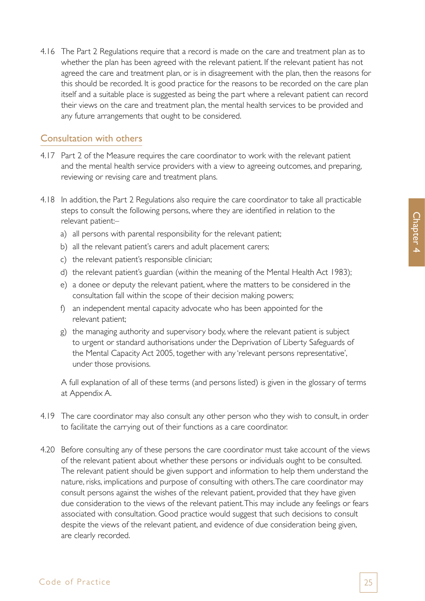4.16 The Part 2 Regulations require that a record is made on the care and treatment plan as to whether the plan has been agreed with the relevant patient. If the relevant patient has not agreed the care and treatment plan, or is in disagreement with the plan, then the reasons for this should be recorded. It is good practice for the reasons to be recorded on the care plan itself and a suitable place is suggested as being the part where a relevant patient can record their views on the care and treatment plan, the mental health services to be provided and any future arrangements that ought to be considered.

### Consultation with others

- 4.17 Part 2 of the Measure requires the care coordinator to work with the relevant patient and the mental health service providers with a view to agreeing outcomes, and preparing, reviewing or revising care and treatment plans.
- 4.18 In addition, the Part 2 Regulations also require the care coordinator to take all practicable steps to consult the following persons, where they are identified in relation to the relevant patient:–
	- a) all persons with parental responsibility for the relevant patient;
	- b) all the relevant patient's carers and adult placement carers;
	- c) the relevant patient's responsible clinician;
	- d) the relevant patient's guardian (within the meaning of the Mental Health Act 1983);
	- e) a donee or deputy the relevant patient, where the matters to be considered in the consultation fall within the scope of their decision making powers;
	- f) an independent mental capacity advocate who has been appointed for the relevant patient;
	- g) the managing authority and supervisory body, where the relevant patient is subject to urgent or standard authorisations under the Deprivation of Liberty Safeguards of the Mental Capacity Act 2005, together with any 'relevant persons representative', under those provisions.

A full explanation of all of these terms (and persons listed) is given in the glossary of terms at Appendix A.

- 4.19 The care coordinator may also consult any other person who they wish to consult, in order to facilitate the carrying out of their functions as a care coordinator.
- 4.20 Before consulting any of these persons the care coordinator must take account of the views of the relevant patient about whether these persons or individuals ought to be consulted. The relevant patient should be given support and information to help them understand the nature, risks, implications and purpose of consulting with others. The care coordinator may consult persons against the wishes of the relevant patient, provided that they have given due consideration to the views of the relevant patient. This may include any feelings or fears associated with consultation. Good practice would suggest that such decisions to consult despite the views of the relevant patient, and evidence of due consideration being given, are clearly recorded.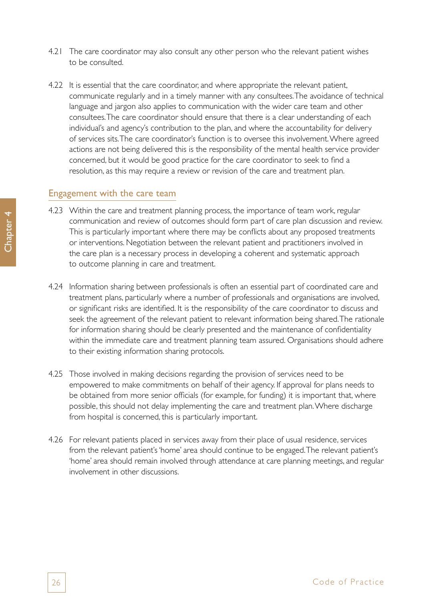- 4.21 The care coordinator may also consult any other person who the relevant patient wishes to be consulted.
- 4.22 It is essential that the care coordinator, and where appropriate the relevant patient, communicate regularly and in a timely manner with any consultees. The avoidance of technical language and jargon also applies to communication with the wider care team and other consultees. The care coordinator should ensure that there is a clear understanding of each individual's and agency's contribution to the plan, and where the accountability for delivery of services sits. The care coordinator's function is to oversee this involvement. Where agreed actions are not being delivered this is the responsibility of the mental health service provider concerned, but it would be good practice for the care coordinator to seek to find a resolution, as this may require a review or revision of the care and treatment plan.

#### Engagement with the care team

- 4.23 Within the care and treatment planning process, the importance of team work, regular communication and review of outcomes should form part of care plan discussion and review. This is particularly important where there may be conflicts about any proposed treatments or interventions. Negotiation between the relevant patient and practitioners involved in the care plan is a necessary process in developing a coherent and systematic approach to outcome planning in care and treatment.
- 4.24 Information sharing between professionals is often an essential part of coordinated care and treatment plans, particularly where a number of professionals and organisations are involved, or significant risks are identified. It is the responsibility of the care coordinator to discuss and seek the agreement of the relevant patient to relevant information being shared. The rationale for information sharing should be clearly presented and the maintenance of confidentiality within the immediate care and treatment planning team assured. Organisations should adhere to their existing information sharing protocols.
- 4.25 Those involved in making decisions regarding the provision of services need to be empowered to make commitments on behalf of their agency. If approval for plans needs to be obtained from more senior officials (for example, for funding) it is important that, where possible, this should not delay implementing the care and treatment plan. Where discharge from hospital is concerned, this is particularly important.
- 4.26 For relevant patients placed in services away from their place of usual residence, services from the relevant patient's 'home' area should continue to be engaged. The relevant patient's 'home' area should remain involved through attendance at care planning meetings, and regular involvement in other discussions.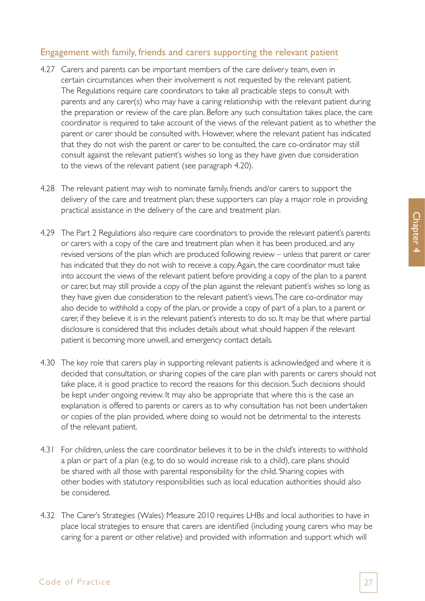### Engagement with family, friends and carers supporting the relevant patient

- 4.27 Carers and parents can be important members of the care delivery team, even in certain circumstances when their involvement is not requested by the relevant patient. The Regulations require care coordinators to take all practicable steps to consult with parents and any carer(s) who may have a caring relationship with the relevant patient during the preparation or review of the care plan. Before any such consultation takes place, the care coordinator is required to take account of the views of the relevant patient as to whether the parent or carer should be consulted with. However, where the relevant patient has indicated that they do not wish the parent or carer to be consulted, the care co-ordinator may still consult against the relevant patient's wishes so long as they have given due consideration to the views of the relevant patient (see paragraph 4.20).
- 4.28 The relevant patient may wish to nominate family, friends and/or carers to support the delivery of the care and treatment plan; these supporters can play a major role in providing practical assistance in the delivery of the care and treatment plan.
- 4.29 The Part 2 Regulations also require care coordinators to provide the relevant patient's parents or carers with a copy of the care and treatment plan when it has been produced, and any revised versions of the plan which are produced following review – unless that parent or carer has indicated that they do not wish to receive a copy. Again, the care coordinator must take into account the views of the relevant patient before providing a copy of the plan to a parent or carer, but may still provide a copy of the plan against the relevant patient's wishes so long as they have given due consideration to the relevant patient's views. The care co-ordinator may also decide to withhold a copy of the plan, or provide a copy of part of a plan, to a parent or carer, if they believe it is in the relevant patient's interests to do so. It may be that where partial disclosure is considered that this includes details about what should happen if the relevant patient is becoming more unwell, and emergency contact details.
- 4.30 The key role that carers play in supporting relevant patients is acknowledged and where it is decided that consultation, or sharing copies of the care plan with parents or carers should not take place, it is good practice to record the reasons for this decision. Such decisions should be kept under ongoing review. It may also be appropriate that where this is the case an explanation is offered to parents or carers as to why consultation has not been undertaken or copies of the plan provided, where doing so would not be detrimental to the interests of the relevant patient.
- 4.31 For children, unless the care coordinator believes it to be in the child's interests to withhold a plan or part of a plan (e.g. to do so would increase risk to a child), care plans should be shared with all those with parental responsibility for the child. Sharing copies with other bodies with statutory responsibilities such as local education authorities should also be considered.
- 4.32 The Carer's Strategies (Wales) Measure 2010 requires LHBs and local authorities to have in place local strategies to ensure that carers are identified (including young carers who may be caring for a parent or other relative) and provided with information and support which will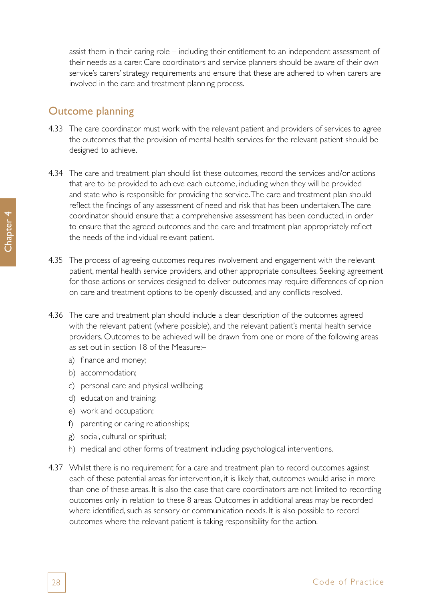assist them in their caring role – including their entitlement to an independent assessment of their needs as a carer. Care coordinators and service planners should be aware of their own service's carers' strategy requirements and ensure that these are adhered to when carers are involved in the care and treatment planning process.

## Outcome planning

- 4.33 The care coordinator must work with the relevant patient and providers of services to agree the outcomes that the provision of mental health services for the relevant patient should be designed to achieve.
- 4.34 The care and treatment plan should list these outcomes, record the services and/or actions that are to be provided to achieve each outcome, including when they will be provided and state who is responsible for providing the service. The care and treatment plan should reflect the findings of any assessment of need and risk that has been undertaken. The care coordinator should ensure that a comprehensive assessment has been conducted, in order to ensure that the agreed outcomes and the care and treatment plan appropriately reflect the needs of the individual relevant patient.
- 4.35 The process of agreeing outcomes requires involvement and engagement with the relevant patient, mental health service providers, and other appropriate consultees. Seeking agreement for those actions or services designed to deliver outcomes may require differences of opinion on care and treatment options to be openly discussed, and any conflicts resolved.
- 4.36 The care and treatment plan should include a clear description of the outcomes agreed with the relevant patient (where possible), and the relevant patient's mental health service providers. Outcomes to be achieved will be drawn from one or more of the following areas as set out in section 18 of the Measure:–
	- a) finance and money;
	- b) accommodation;
	- c) personal care and physical wellbeing;
	- d) education and training;
	- e) work and occupation;
	- f) parenting or caring relationships;
	- g) social, cultural or spiritual;
	- h) medical and other forms of treatment including psychological interventions.
- 4.37 Whilst there is no requirement for a care and treatment plan to record outcomes against each of these potential areas for intervention, it is likely that, outcomes would arise in more than one of these areas. It is also the case that care coordinators are not limited to recording outcomes only in relation to these 8 areas. Outcomes in additional areas may be recorded where identified, such as sensory or communication needs. It is also possible to record outcomes where the relevant patient is taking responsibility for the action.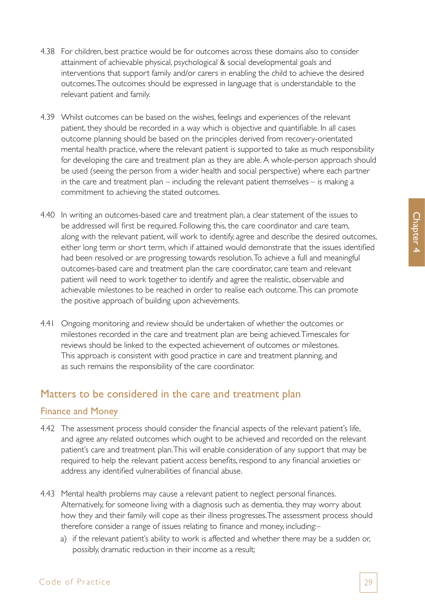- 4.38 For children, best practice would be for outcomes across these domains also to consider attainment of achievable physical, psychological & social developmental goals and interventions that support family and/or carers in enabling the child to achieve the desired outcomes. The outcomes should be expressed in language that is understandable to the relevant patient and family.
- 4.39 Whilst outcomes can be based on the wishes, feelings and experiences of the relevant patient, they should be recorded in a way which is objective and quantifiable. In all cases outcome planning should be based on the principles derived from recovery-orientated mental health practice, where the relevant patient is supported to take as much responsibility for developing the care and treatment plan as they are able. A whole-person approach should be used (seeing the person from a wider health and social perspective) where each partner in the care and treatment plan – including the relevant patient themselves – is making a commitment to achieving the stated outcomes.
- 4.40 In writing an outcomes-based care and treatment plan, a clear statement of the issues to be addressed will first be required. Following this, the care coordinator and care team, along with the relevant patient, will work to identify, agree and describe the desired outcomes, either long term or short term, which if attained would demonstrate that the issues identified had been resolved or are progressing towards resolution. To achieve a full and meaningful outcomes-based care and treatment plan the care coordinator, care team and relevant patient will need to work together to identify and agree the realistic, observable and achievable milestones to be reached in order to realise each outcome. This can promote the positive approach of building upon achievements.
- 4.41 Ongoing monitoring and review should be undertaken of whether the outcomes or milestones recorded in the care and treatment plan are being achieved. Timescales for reviews should be linked to the expected achievement of outcomes or milestones. This approach is consistent with good practice in care and treatment planning, and as such remains the responsibility of the care coordinator.

# Matters to be considered in the care and treatment plan

#### Finance and Money

- 4.42 The assessment process should consider the financial aspects of the relevant patient's life, and agree any related outcomes which ought to be achieved and recorded on the relevant patient's care and treatment plan. This will enable consideration of any support that may be required to help the relevant patient access benefits, respond to any financial anxieties or address any identified vulnerabilities of financial abuse.
- 4.43 Mental health problems may cause a relevant patient to neglect personal finances. Alternatively, for someone living with a diagnosis such as dementia, they may worry about how they and their family will cope as their illness progresses. The assessment process should therefore consider a range of issues relating to finance and money, including:–
	- a) if the relevant patient's ability to work is affected and whether there may be a sudden or, possibly, dramatic reduction in their income as a result;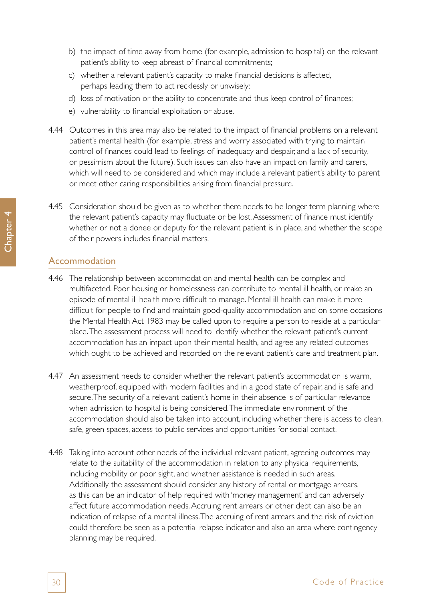- b) the impact of time away from home (for example, admission to hospital) on the relevant patient's ability to keep abreast of financial commitments;
- c) whether a relevant patient's capacity to make financial decisions is affected, perhaps leading them to act recklessly or unwisely;
- d) loss of motivation or the ability to concentrate and thus keep control of finances;
- e) vulnerability to financial exploitation or abuse.
- 4.44 Outcomes in this area may also be related to the impact of financial problems on a relevant patient's mental health (for example, stress and worry associated with trying to maintain control of finances could lead to feelings of inadequacy and despair, and a lack of security, or pessimism about the future). Such issues can also have an impact on family and carers, which will need to be considered and which may include a relevant patient's ability to parent or meet other caring responsibilities arising from financial pressure.
- 4.45 Consideration should be given as to whether there needs to be longer term planning where the relevant patient's capacity may fluctuate or be lost. Assessment of finance must identify whether or not a donee or deputy for the relevant patient is in place, and whether the scope of their powers includes financial matters.

#### Accommodation

- 4.46 The relationship between accommodation and mental health can be complex and multifaceted. Poor housing or homelessness can contribute to mental ill health, or make an episode of mental ill health more difficult to manage. Mental ill health can make it more difficult for people to find and maintain good-quality accommodation and on some occasions the Mental Health Act 1983 may be called upon to require a person to reside at a particular place. The assessment process will need to identify whether the relevant patient's current accommodation has an impact upon their mental health, and agree any related outcomes which ought to be achieved and recorded on the relevant patient's care and treatment plan.
- 4.47 An assessment needs to consider whether the relevant patient's accommodation is warm, weatherproof, equipped with modern facilities and in a good state of repair, and is safe and secure. The security of a relevant patient's home in their absence is of particular relevance when admission to hospital is being considered. The immediate environment of the accommodation should also be taken into account, including whether there is access to clean, safe, green spaces, access to public services and opportunities for social contact.
- 4.48 Taking into account other needs of the individual relevant patient, agreeing outcomes may relate to the suitability of the accommodation in relation to any physical requirements, including mobility or poor sight, and whether assistance is needed in such areas. Additionally the assessment should consider any history of rental or mortgage arrears, as this can be an indicator of help required with 'money management' and can adversely affect future accommodation needs. Accruing rent arrears or other debt can also be an indication of relapse of a mental illness. The accruing of rent arrears and the risk of eviction could therefore be seen as a potential relapse indicator and also an area where contingency planning may be required.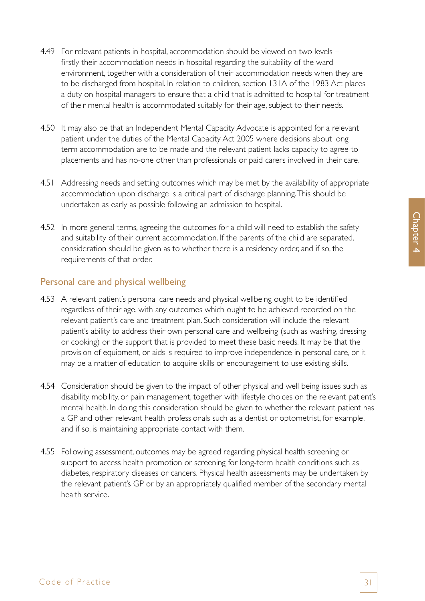- 4.49 For relevant patients in hospital, accommodation should be viewed on two levels firstly their accommodation needs in hospital regarding the suitability of the ward environment, together with a consideration of their accommodation needs when they are to be discharged from hospital. In relation to children, section 131A of the 1983 Act places a duty on hospital managers to ensure that a child that is admitted to hospital for treatment of their mental health is accommodated suitably for their age, subject to their needs.
- 4.50 It may also be that an Independent Mental Capacity Advocate is appointed for a relevant patient under the duties of the Mental Capacity Act 2005 where decisions about long term accommodation are to be made and the relevant patient lacks capacity to agree to placements and has no-one other than professionals or paid carers involved in their care.
- 4.51 Addressing needs and setting outcomes which may be met by the availability of appropriate accommodation upon discharge is a critical part of discharge planning. This should be undertaken as early as possible following an admission to hospital.
- 4.52 In more general terms, agreeing the outcomes for a child will need to establish the safety and suitability of their current accommodation. If the parents of the child are separated, consideration should be given as to whether there is a residency order, and if so, the requirements of that order.

#### Personal care and physical wellbeing

- 4.53 A relevant patient's personal care needs and physical wellbeing ought to be identified regardless of their age, with any outcomes which ought to be achieved recorded on the relevant patient's care and treatment plan. Such consideration will include the relevant patient's ability to address their own personal care and wellbeing (such as washing, dressing or cooking) or the support that is provided to meet these basic needs. It may be that the provision of equipment, or aids is required to improve independence in personal care, or it may be a matter of education to acquire skills or encouragement to use existing skills.
- 4.54 Consideration should be given to the impact of other physical and well being issues such as disability, mobility, or pain management, together with lifestyle choices on the relevant patient's mental health. In doing this consideration should be given to whether the relevant patient has a GP and other relevant health professionals such as a dentist or optometrist, for example, and if so, is maintaining appropriate contact with them.
- 4.55 Following assessment, outcomes may be agreed regarding physical health screening or support to access health promotion or screening for long-term health conditions such as diabetes, respiratory diseases or cancers. Physical health assessments may be undertaken by the relevant patient's GP or by an appropriately qualified member of the secondary mental health service.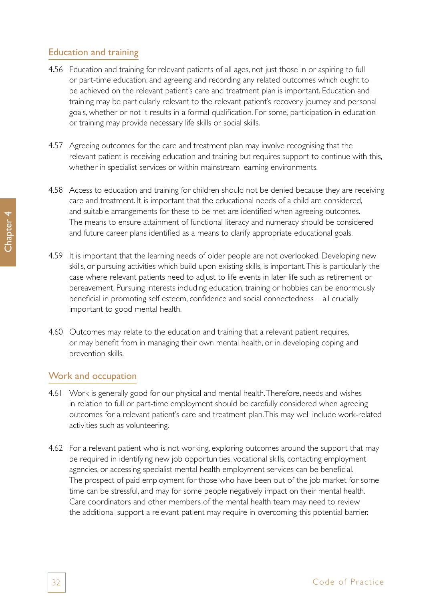### Education and training

- 4.56 Education and training for relevant patients of all ages, not just those in or aspiring to full or part-time education, and agreeing and recording any related outcomes which ought to be achieved on the relevant patient's care and treatment plan is important. Education and training may be particularly relevant to the relevant patient's recovery journey and personal goals, whether or not it results in a formal qualification. For some, participation in education or training may provide necessary life skills or social skills.
- 4.57 Agreeing outcomes for the care and treatment plan may involve recognising that the relevant patient is receiving education and training but requires support to continue with this, whether in specialist services or within mainstream learning environments.
- 4.58 Access to education and training for children should not be denied because they are receiving care and treatment. It is important that the educational needs of a child are considered, and suitable arrangements for these to be met are identified when agreeing outcomes. The means to ensure attainment of functional literacy and numeracy should be considered and future career plans identified as a means to clarify appropriate educational goals.
- 4.59 It is important that the learning needs of older people are not overlooked. Developing new skills, or pursuing activities which build upon existing skills, is important. This is particularly the case where relevant patients need to adjust to life events in later life such as retirement or bereavement. Pursuing interests including education, training or hobbies can be enormously beneficial in promoting self esteem, confidence and social connectedness – all crucially important to good mental health.
- 4.60 Outcomes may relate to the education and training that a relevant patient requires, or may benefit from in managing their own mental health, or in developing coping and prevention skills.

### Work and occupation

- 4.61 Work is generally good for our physical and mental health. Therefore, needs and wishes in relation to full or part-time employment should be carefully considered when agreeing outcomes for a relevant patient's care and treatment plan. This may well include work-related activities such as volunteering.
- 4.62 For a relevant patient who is not working, exploring outcomes around the support that may be required in identifying new job opportunities, vocational skills, contacting employment agencies, or accessing specialist mental health employment services can be beneficial. The prospect of paid employment for those who have been out of the job market for some time can be stressful, and may for some people negatively impact on their mental health. Care coordinators and other members of the mental health team may need to review the additional support a relevant patient may require in overcoming this potential barrier.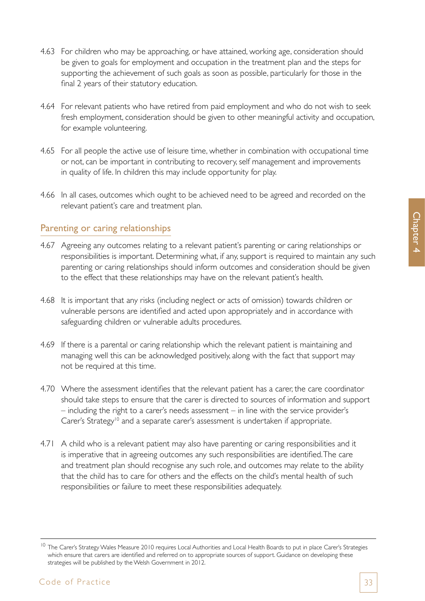- 4.63 For children who may be approaching, or have attained, working age, consideration should be given to goals for employment and occupation in the treatment plan and the steps for supporting the achievement of such goals as soon as possible, particularly for those in the final 2 years of their statutory education.
- 4.64 For relevant patients who have retired from paid employment and who do not wish to seek fresh employment, consideration should be given to other meaningful activity and occupation, for example volunteering.
- 4.65 For all people the active use of leisure time, whether in combination with occupational time or not, can be important in contributing to recovery, self management and improvements in quality of life. In children this may include opportunity for play.
- 4.66 In all cases, outcomes which ought to be achieved need to be agreed and recorded on the relevant patient's care and treatment plan.

#### Parenting or caring relationships

- 4.67 Agreeing any outcomes relating to a relevant patient's parenting or caring relationships or responsibilities is important. Determining what, if any, support is required to maintain any such parenting or caring relationships should inform outcomes and consideration should be given to the effect that these relationships may have on the relevant patient's health.
- 4.68 It is important that any risks (including neglect or acts of omission) towards children or vulnerable persons are identified and acted upon appropriately and in accordance with safeguarding children or vulnerable adults procedures.
- 4.69 If there is a parental or caring relationship which the relevant patient is maintaining and managing well this can be acknowledged positively, along with the fact that support may not be required at this time.
- 4.70 Where the assessment identifies that the relevant patient has a carer, the care coordinator should take steps to ensure that the carer is directed to sources of information and support – including the right to a carer's needs assessment – in line with the service provider's Carer's Strategy<sup>10</sup> and a separate carer's assessment is undertaken if appropriate.
- 4.71 A child who is a relevant patient may also have parenting or caring responsibilities and it is imperative that in agreeing outcomes any such responsibilities are identified. The care and treatment plan should recognise any such role, and outcomes may relate to the ability that the child has to care for others and the effects on the child's mental health of such responsibilities or failure to meet these responsibilities adequately.

<sup>&</sup>lt;sup>10</sup> The Carer's Strategy Wales Measure 2010 requires Local Authorities and Local Health Boards to put in place Carer's Strategies which ensure that carers are identified and referred on to appropriate sources of support. Guidance on developing these strategies will be published by the Welsh Government in 2012.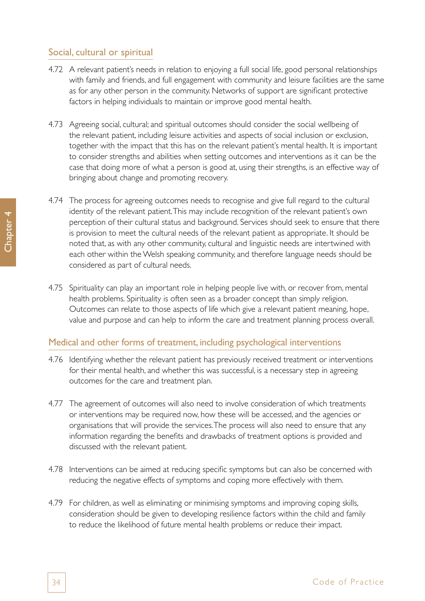### Social, cultural or spiritual

- 4.72 A relevant patient's needs in relation to enjoying a full social life, good personal relationships with family and friends, and full engagement with community and leisure facilities are the same as for any other person in the community. Networks of support are significant protective factors in helping individuals to maintain or improve good mental health.
- 4.73 Agreeing social, cultural; and spiritual outcomes should consider the social wellbeing of the relevant patient, including leisure activities and aspects of social inclusion or exclusion, together with the impact that this has on the relevant patient's mental health. It is important to consider strengths and abilities when setting outcomes and interventions as it can be the case that doing more of what a person is good at, using their strengths, is an effective way of bringing about change and promoting recovery.
- 4.74 The process for agreeing outcomes needs to recognise and give full regard to the cultural identity of the relevant patient. This may include recognition of the relevant patient's own perception of their cultural status and background. Services should seek to ensure that there is provision to meet the cultural needs of the relevant patient as appropriate. It should be noted that, as with any other community, cultural and linguistic needs are intertwined with each other within the Welsh speaking community, and therefore language needs should be considered as part of cultural needs.
- 4.75 Spirituality can play an important role in helping people live with, or recover from, mental health problems. Spirituality is often seen as a broader concept than simply religion. Outcomes can relate to those aspects of life which give a relevant patient meaning, hope, value and purpose and can help to inform the care and treatment planning process overall.

### Medical and other forms of treatment, including psychological interventions

- 4.76 Identifying whether the relevant patient has previously received treatment or interventions for their mental health, and whether this was successful, is a necessary step in agreeing outcomes for the care and treatment plan.
- 4.77 The agreement of outcomes will also need to involve consideration of which treatments or interventions may be required now, how these will be accessed, and the agencies or organisations that will provide the services. The process will also need to ensure that any information regarding the benefits and drawbacks of treatment options is provided and discussed with the relevant patient.
- 4.78 Interventions can be aimed at reducing specific symptoms but can also be concerned with reducing the negative effects of symptoms and coping more effectively with them.
- 4.79 For children, as well as eliminating or minimising symptoms and improving coping skills, consideration should be given to developing resilience factors within the child and family to reduce the likelihood of future mental health problems or reduce their impact.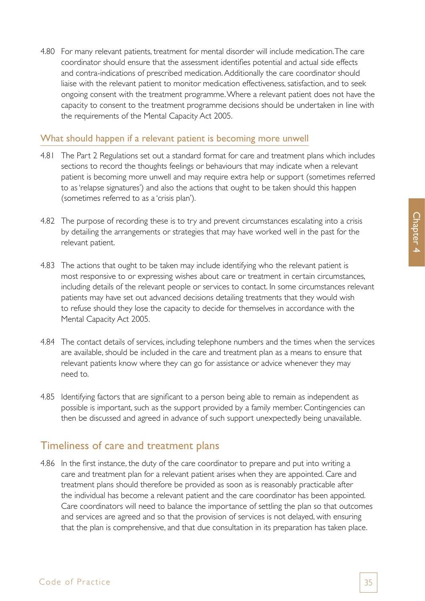4.80 For many relevant patients, treatment for mental disorder will include medication. The care coordinator should ensure that the assessment identifies potential and actual side effects and contra-indications of prescribed medication. Additionally the care coordinator should liaise with the relevant patient to monitor medication effectiveness, satisfaction, and to seek ongoing consent with the treatment programme. Where a relevant patient does not have the capacity to consent to the treatment programme decisions should be undertaken in line with the requirements of the Mental Capacity Act 2005.

#### What should happen if a relevant patient is becoming more unwell

- 4.81 The Part 2 Regulations set out a standard format for care and treatment plans which includes sections to record the thoughts feelings or behaviours that may indicate when a relevant patient is becoming more unwell and may require extra help or support (sometimes referred to as 'relapse signatures') and also the actions that ought to be taken should this happen (sometimes referred to as a 'crisis plan').
- 4.82 The purpose of recording these is to try and prevent circumstances escalating into a crisis by detailing the arrangements or strategies that may have worked well in the past for the relevant patient.
- 4.83 The actions that ought to be taken may include identifying who the relevant patient is most responsive to or expressing wishes about care or treatment in certain circumstances, including details of the relevant people or services to contact. In some circumstances relevant patients may have set out advanced decisions detailing treatments that they would wish to refuse should they lose the capacity to decide for themselves in accordance with the Mental Capacity Act 2005.
- 4.84 The contact details of services, including telephone numbers and the times when the services are available, should be included in the care and treatment plan as a means to ensure that relevant patients know where they can go for assistance or advice whenever they may need to.
- 4.85 Identifying factors that are significant to a person being able to remain as independent as possible is important, such as the support provided by a family member. Contingencies can then be discussed and agreed in advance of such support unexpectedly being unavailable.

## Timeliness of care and treatment plans

4.86 In the first instance, the duty of the care coordinator to prepare and put into writing a care and treatment plan for a relevant patient arises when they are appointed. Care and treatment plans should therefore be provided as soon as is reasonably practicable after the individual has become a relevant patient and the care coordinator has been appointed. Care coordinators will need to balance the importance of settling the plan so that outcomes and services are agreed and so that the provision of services is not delayed, with ensuring that the plan is comprehensive, and that due consultation in its preparation has taken place.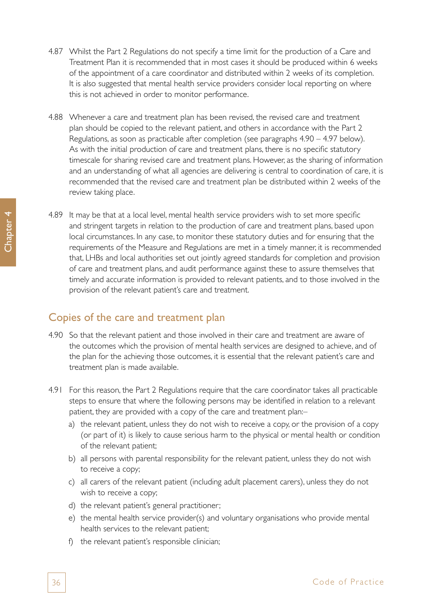- 4.87 Whilst the Part 2 Regulations do not specify a time limit for the production of a Care and Treatment Plan it is recommended that in most cases it should be produced within 6 weeks of the appointment of a care coordinator and distributed within 2 weeks of its completion. It is also suggested that mental health service providers consider local reporting on where this is not achieved in order to monitor performance.
- 4.88 Whenever a care and treatment plan has been revised, the revised care and treatment plan should be copied to the relevant patient, and others in accordance with the Part 2 Regulations, as soon as practicable after completion (see paragraphs 4.90 – 4.97 below). As with the initial production of care and treatment plans, there is no specific statutory timescale for sharing revised care and treatment plans. However, as the sharing of information and an understanding of what all agencies are delivering is central to coordination of care, it is recommended that the revised care and treatment plan be distributed within 2 weeks of the review taking place.
- 4.89 It may be that at a local level, mental health service providers wish to set more specific and stringent targets in relation to the production of care and treatment plans, based upon local circumstances. In any case, to monitor these statutory duties and for ensuring that the requirements of the Measure and Regulations are met in a timely manner, it is recommended that, LHBs and local authorities set out jointly agreed standards for completion and provision of care and treatment plans, and audit performance against these to assure themselves that timely and accurate information is provided to relevant patients, and to those involved in the provision of the relevant patient's care and treatment.

## Copies of the care and treatment plan

- 4.90 So that the relevant patient and those involved in their care and treatment are aware of the outcomes which the provision of mental health services are designed to achieve, and of the plan for the achieving those outcomes, it is essential that the relevant patient's care and treatment plan is made available.
- 4.91 For this reason, the Part 2 Regulations require that the care coordinator takes all practicable steps to ensure that where the following persons may be identified in relation to a relevant patient, they are provided with a copy of the care and treatment plan:–
	- a) the relevant patient, unless they do not wish to receive a copy, or the provision of a copy (or part of it) is likely to cause serious harm to the physical or mental health or condition of the relevant patient;
	- b) all persons with parental responsibility for the relevant patient, unless they do not wish to receive a copy;
	- c) all carers of the relevant patient (including adult placement carers), unless they do not wish to receive a copy;
	- d) the relevant patient's general practitioner;
	- e) the mental health service provider(s) and voluntary organisations who provide mental health services to the relevant patient;
	- f) the relevant patient's responsible clinician;

Chapter 4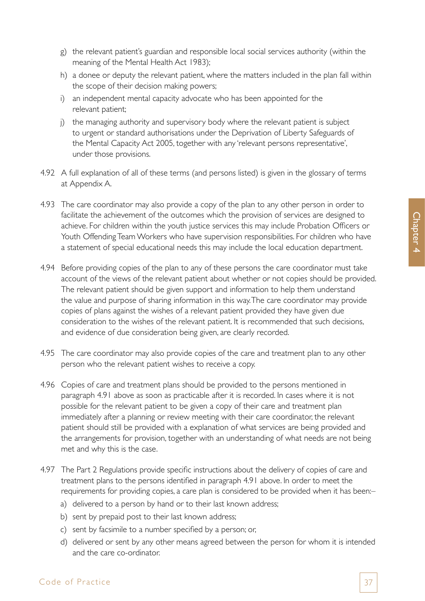- g) the relevant patient's guardian and responsible local social services authority (within the meaning of the Mental Health Act 1983);
- h) a donee or deputy the relevant patient, where the matters included in the plan fall within the scope of their decision making powers;
- i) an independent mental capacity advocate who has been appointed for the relevant patient;
- j) the managing authority and supervisory body where the relevant patient is subject to urgent or standard authorisations under the Deprivation of Liberty Safeguards of the Mental Capacity Act 2005, together with any 'relevant persons representative', under those provisions.
- 4.92 A full explanation of all of these terms (and persons listed) is given in the glossary of terms at Appendix A.
- 4.93 The care coordinator may also provide a copy of the plan to any other person in order to facilitate the achievement of the outcomes which the provision of services are designed to achieve. For children within the youth justice services this may include Probation Officers or Youth Offending Team Workers who have supervision responsibilities. For children who have a statement of special educational needs this may include the local education department.
- 4.94 Before providing copies of the plan to any of these persons the care coordinator must take account of the views of the relevant patient about whether or not copies should be provided. The relevant patient should be given support and information to help them understand the value and purpose of sharing information in this way. The care coordinator may provide copies of plans against the wishes of a relevant patient provided they have given due consideration to the wishes of the relevant patient. It is recommended that such decisions, and evidence of due consideration being given, are clearly recorded.
- 4.95 The care coordinator may also provide copies of the care and treatment plan to any other person who the relevant patient wishes to receive a copy.
- 4.96 Copies of care and treatment plans should be provided to the persons mentioned in paragraph 4.91 above as soon as practicable after it is recorded. In cases where it is not possible for the relevant patient to be given a copy of their care and treatment plan immediately after a planning or review meeting with their care coordinator, the relevant patient should still be provided with a explanation of what services are being provided and the arrangements for provision, together with an understanding of what needs are not being met and why this is the case.
- 4.97 The Part 2 Regulations provide specific instructions about the delivery of copies of care and treatment plans to the persons identified in paragraph 4.91 above. In order to meet the requirements for providing copies, a care plan is considered to be provided when it has been:–
	- a) delivered to a person by hand or to their last known address;
	- b) sent by prepaid post to their last known address;
	- c) sent by facsimile to a number specified by a person; or,
	- d) delivered or sent by any other means agreed between the person for whom it is intended and the care co-ordinator.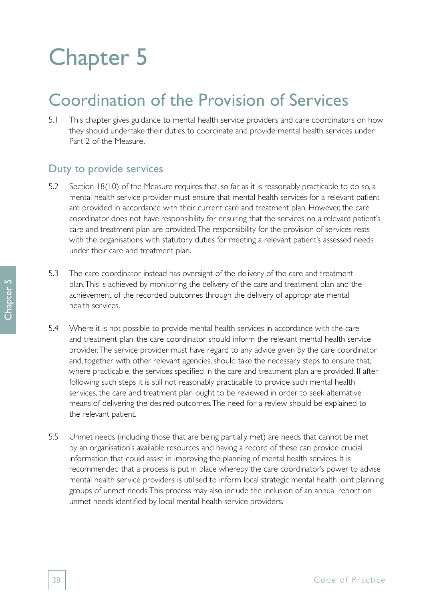# Chapter 5

# Coordination of the Provision of Services

5.1 This chapter gives guidance to mental health service providers and care coordinators on how they should undertake their duties to coordinate and provide mental health services under Part 2 of the Measure.

### Duty to provide services

- 5.2 Section 18(10) of the Measure requires that, so far as it is reasonably practicable to do so, a mental health service provider must ensure that mental health services for a relevant patient are provided in accordance with their current care and treatment plan. However, the care coordinator does not have responsibility for ensuring that the services on a relevant patient's care and treatment plan are provided. The responsibility for the provision of services rests with the organisations with statutory duties for meeting a relevant patient's assessed needs under their care and treatment plan.
- 5.3 The care coordinator instead has oversight of the delivery of the care and treatment plan. This is achieved by monitoring the delivery of the care and treatment plan and the achievement of the recorded outcomes through the delivery of appropriate mental health services.
- 5.4 Where it is not possible to provide mental health services in accordance with the care and treatment plan, the care coordinator should inform the relevant mental health service provider. The service provider must have regard to any advice given by the care coordinator and, together with other relevant agencies, should take the necessary steps to ensure that, where practicable, the services specified in the care and treatment plan are provided. If after following such steps it is still not reasonably practicable to provide such mental health services, the care and treatment plan ought to be reviewed in order to seek alternative means of delivering the desired outcomes. The need for a review should be explained to the relevant patient.
- 5.5 Unmet needs (including those that are being partially met) are needs that cannot be met by an organisation's available resources and having a record of these can provide crucial information that could assist in improving the planning of mental health services. It is recommended that a process is put in place whereby the care coordinator's power to advise mental health service providers is utilised to inform local strategic mental health joint planning groups of unmet needs. This process may also include the inclusion of an annual report on unmet needs identified by local mental health service providers.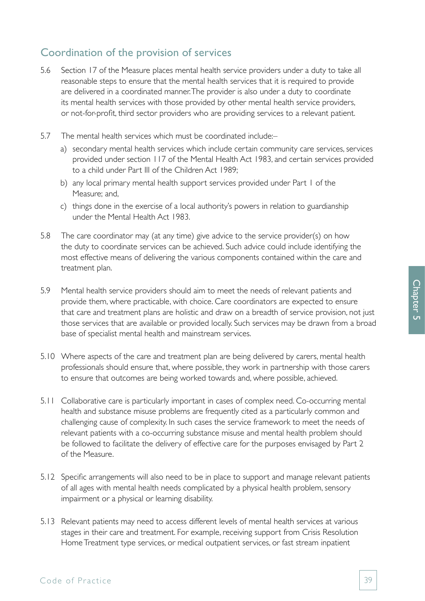# Coordination of the provision of services

- 5.6 Section 17 of the Measure places mental health service providers under a duty to take all reasonable steps to ensure that the mental health services that it is required to provide are delivered in a coordinated manner. The provider is also under a duty to coordinate its mental health services with those provided by other mental health service providers, or not-for-profit, third sector providers who are providing services to a relevant patient.
- 5.7 The mental health services which must be coordinated include:–
	- a) secondary mental health services which include certain community care services, services provided under section 117 of the Mental Health Act 1983, and certain services provided to a child under Part III of the Children Act 1989;
	- b) any local primary mental health support services provided under Part 1 of the Measure; and,
	- c) things done in the exercise of a local authority's powers in relation to guardianship under the Mental Health Act 1983.
- 5.8 The care coordinator may (at any time) give advice to the service provider(s) on how the duty to coordinate services can be achieved. Such advice could include identifying the most effective means of delivering the various components contained within the care and treatment plan.
- 5.9 Mental health service providers should aim to meet the needs of relevant patients and provide them, where practicable, with choice. Care coordinators are expected to ensure that care and treatment plans are holistic and draw on a breadth of service provision, not just those services that are available or provided locally. Such services may be drawn from a broad base of specialist mental health and mainstream services.
- 5.10 Where aspects of the care and treatment plan are being delivered by carers, mental health professionals should ensure that, where possible, they work in partnership with those carers to ensure that outcomes are being worked towards and, where possible, achieved.
- 5.11 Collaborative care is particularly important in cases of complex need. Co-occurring mental health and substance misuse problems are frequently cited as a particularly common and challenging cause of complexity. In such cases the service framework to meet the needs of relevant patients with a co-occurring substance misuse and mental health problem should be followed to facilitate the delivery of effective care for the purposes envisaged by Part 2 of the Measure.
- 5.12 Specific arrangements will also need to be in place to support and manage relevant patients of all ages with mental health needs complicated by a physical health problem, sensory impairment or a physical or learning disability.
- 5.13 Relevant patients may need to access different levels of mental health services at various stages in their care and treatment. For example, receiving support from Crisis Resolution Home Treatment type services, or medical outpatient services, or fast stream inpatient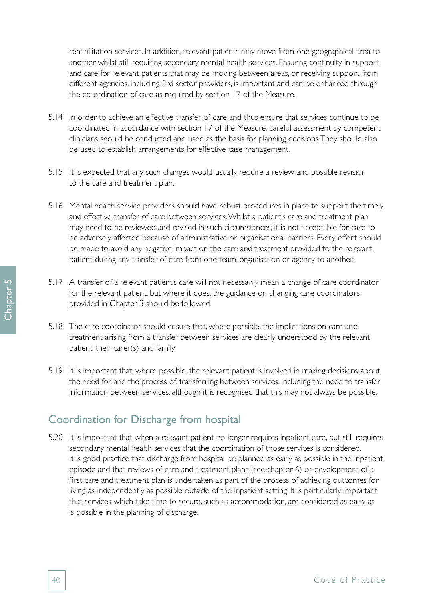rehabilitation services. In addition, relevant patients may move from one geographical area to another whilst still requiring secondary mental health services. Ensuring continuity in support and care for relevant patients that may be moving between areas, or receiving support from different agencies, including 3rd sector providers, is important and can be enhanced through the co-ordination of care as required by section 17 of the Measure.

- 5.14 In order to achieve an effective transfer of care and thus ensure that services continue to be coordinated in accordance with section 17 of the Measure, careful assessment by competent clinicians should be conducted and used as the basis for planning decisions. They should also be used to establish arrangements for effective case management.
- 5.15 It is expected that any such changes would usually require a review and possible revision to the care and treatment plan.
- 5.16 Mental health service providers should have robust procedures in place to support the timely and effective transfer of care between services. Whilst a patient's care and treatment plan may need to be reviewed and revised in such circumstances, it is not acceptable for care to be adversely affected because of administrative or organisational barriers. Every effort should be made to avoid any negative impact on the care and treatment provided to the relevant patient during any transfer of care from one team, organisation or agency to another.
- 5.17 A transfer of a relevant patient's care will not necessarily mean a change of care coordinator for the relevant patient, but where it does, the guidance on changing care coordinators provided in Chapter 3 should be followed.
- 5.18 The care coordinator should ensure that, where possible, the implications on care and treatment arising from a transfer between services are clearly understood by the relevant patient, their carer(s) and family.
- 5.19 It is important that, where possible, the relevant patient is involved in making decisions about the need for, and the process of, transferring between services, including the need to transfer information between services, although it is recognised that this may not always be possible.

## Coordination for Discharge from hospital

5.20 It is important that when a relevant patient no longer requires inpatient care, but still requires secondary mental health services that the coordination of those services is considered. It is good practice that discharge from hospital be planned as early as possible in the inpatient episode and that reviews of care and treatment plans (see chapter 6) or development of a first care and treatment plan is undertaken as part of the process of achieving outcomes for living as independently as possible outside of the inpatient setting. It is particularly important that services which take time to secure, such as accommodation, are considered as early as is possible in the planning of discharge.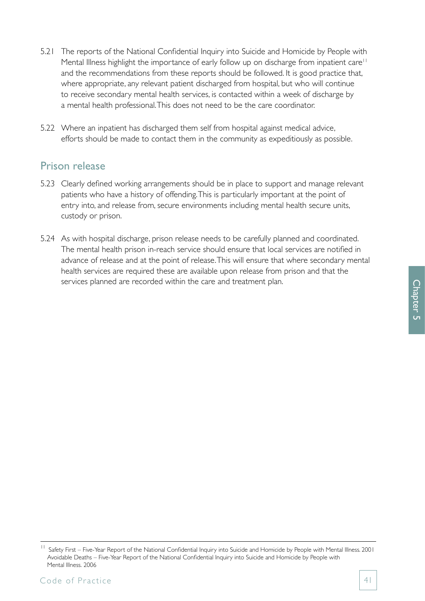- 5.21 The reports of the National Confidential Inquiry into Suicide and Homicide by People with Mental Illness highlight the importance of early follow up on discharge from inpatient care<sup>11</sup> and the recommendations from these reports should be followed. It is good practice that, where appropriate, any relevant patient discharged from hospital, but who will continue to receive secondary mental health services, is contacted within a week of discharge by a mental health professional. This does not need to be the care coordinator.
- 5.22 Where an inpatient has discharged them self from hospital against medical advice, efforts should be made to contact them in the community as expeditiously as possible.

## Prison release

- 5.23 Clearly defined working arrangements should be in place to support and manage relevant patients who have a history of offending. This is particularly important at the point of entry into, and release from, secure environments including mental health secure units, custody or prison.
- 5.24 As with hospital discharge, prison release needs to be carefully planned and coordinated. The mental health prison in-reach service should ensure that local services are notified in advance of release and at the point of release. This will ensure that where secondary mental health services are required these are available upon release from prison and that the services planned are recorded within the care and treatment plan.

<sup>&</sup>lt;sup>11</sup> Safety First – Five-Year Report of the National Confidential Inquiry into Suicide and Homicide by People with Mental Illness. 2001 Avoidable Deaths – Five-Year Report of the National Confidential Inquiry into Suicide and Homicide by People with Mental Illness. 2006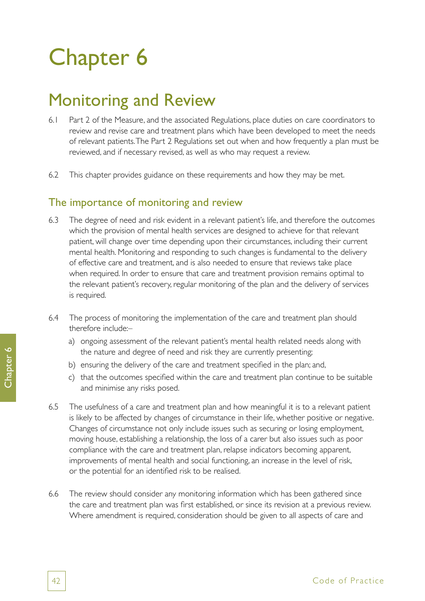# Chapter 6

# Monitoring and Review

- 6.1 Part 2 of the Measure, and the associated Regulations, place duties on care coordinators to review and revise care and treatment plans which have been developed to meet the needs of relevant patients. The Part 2 Regulations set out when and how frequently a plan must be reviewed, and if necessary revised, as well as who may request a review.
- 6.2 This chapter provides guidance on these requirements and how they may be met.

## The importance of monitoring and review

- 6.3 The degree of need and risk evident in a relevant patient's life, and therefore the outcomes which the provision of mental health services are designed to achieve for that relevant patient, will change over time depending upon their circumstances, including their current mental health. Monitoring and responding to such changes is fundamental to the delivery of effective care and treatment, and is also needed to ensure that reviews take place when required. In order to ensure that care and treatment provision remains optimal to the relevant patient's recovery, regular monitoring of the plan and the delivery of services is required.
- 6.4 The process of monitoring the implementation of the care and treatment plan should therefore include:–
	- a) ongoing assessment of the relevant patient's mental health related needs along with the nature and degree of need and risk they are currently presenting;
	- b) ensuring the delivery of the care and treatment specified in the plan; and,
	- c) that the outcomes specified within the care and treatment plan continue to be suitable and minimise any risks posed.
- 6.5 The usefulness of a care and treatment plan and how meaningful it is to a relevant patient is likely to be affected by changes of circumstance in their life, whether positive or negative. Changes of circumstance not only include issues such as securing or losing employment, moving house, establishing a relationship, the loss of a carer but also issues such as poor compliance with the care and treatment plan, relapse indicators becoming apparent, improvements of mental health and social functioning, an increase in the level of risk, or the potential for an identified risk to be realised.
- 6.6 The review should consider any monitoring information which has been gathered since the care and treatment plan was first established, or since its revision at a previous review. Where amendment is required, consideration should be given to all aspects of care and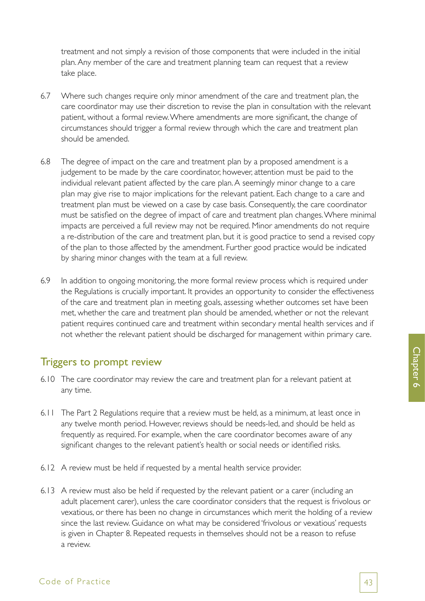treatment and not simply a revision of those components that were included in the initial plan. Any member of the care and treatment planning team can request that a review take place.

- 6.7 Where such changes require only minor amendment of the care and treatment plan, the care coordinator may use their discretion to revise the plan in consultation with the relevant patient, without a formal review. Where amendments are more significant, the change of circumstances should trigger a formal review through which the care and treatment plan should be amended.
- 6.8 The degree of impact on the care and treatment plan by a proposed amendment is a judgement to be made by the care coordinator, however, attention must be paid to the individual relevant patient affected by the care plan. A seemingly minor change to a care plan may give rise to major implications for the relevant patient. Each change to a care and treatment plan must be viewed on a case by case basis. Consequently, the care coordinator must be satisfied on the degree of impact of care and treatment plan changes. Where minimal impacts are perceived a full review may not be required. Minor amendments do not require a re-distribution of the care and treatment plan, but it is good practice to send a revised copy of the plan to those affected by the amendment. Further good practice would be indicated by sharing minor changes with the team at a full review.
- 6.9 In addition to ongoing monitoring, the more formal review process which is required under the Regulations is crucially important. It provides an opportunity to consider the effectiveness of the care and treatment plan in meeting goals, assessing whether outcomes set have been met, whether the care and treatment plan should be amended, whether or not the relevant patient requires continued care and treatment within secondary mental health services and if not whether the relevant patient should be discharged for management within primary care.

## Triggers to prompt review

- 6.10 The care coordinator may review the care and treatment plan for a relevant patient at any time.
- 6.11 The Part 2 Regulations require that a review must be held, as a minimum, at least once in any twelve month period. However, reviews should be needs-led, and should be held as frequently as required. For example, when the care coordinator becomes aware of any significant changes to the relevant patient's health or social needs or identified risks.
- 6.12 A review must be held if requested by a mental health service provider.
- 6.13 A review must also be held if requested by the relevant patient or a carer (including an adult placement carer), unless the care coordinator considers that the request is frivolous or vexatious, or there has been no change in circumstances which merit the holding of a review since the last review. Guidance on what may be considered 'frivolous or vexatious' requests is given in Chapter 8. Repeated requests in themselves should not be a reason to refuse a review.

### Code of Practice 23 and 23 and 23 and 23 and 23 and 23 and 23 and 23 and 23 and 23 and 23 and 23 and 23 and 23 and 23 and 23 and 23 and 23 and 23 and 23 and 23 and 23 and 23 and 23 and 23 and 23 and 23 and 23 and 23 and 23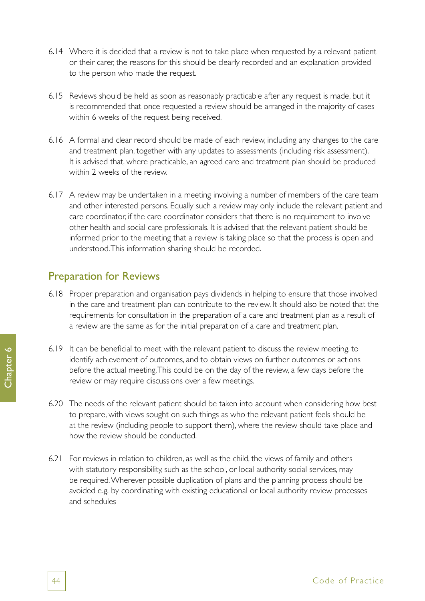- 6.14 Where it is decided that a review is not to take place when requested by a relevant patient or their carer, the reasons for this should be clearly recorded and an explanation provided to the person who made the request.
- 6.15 Reviews should be held as soon as reasonably practicable after any request is made, but it is recommended that once requested a review should be arranged in the majority of cases within 6 weeks of the request being received.
- 6.16 A formal and clear record should be made of each review, including any changes to the care and treatment plan, together with any updates to assessments (including risk assessment). It is advised that, where practicable, an agreed care and treatment plan should be produced within 2 weeks of the review.
- 6.17 A review may be undertaken in a meeting involving a number of members of the care team and other interested persons. Equally such a review may only include the relevant patient and care coordinator, if the care coordinator considers that there is no requirement to involve other health and social care professionals. It is advised that the relevant patient should be informed prior to the meeting that a review is taking place so that the process is open and understood. This information sharing should be recorded.

# Preparation for Reviews

- 6.18 Proper preparation and organisation pays dividends in helping to ensure that those involved in the care and treatment plan can contribute to the review. It should also be noted that the requirements for consultation in the preparation of a care and treatment plan as a result of a review are the same as for the initial preparation of a care and treatment plan.
- 6.19 It can be beneficial to meet with the relevant patient to discuss the review meeting, to identify achievement of outcomes, and to obtain views on further outcomes or actions before the actual meeting. This could be on the day of the review, a few days before the review or may require discussions over a few meetings.
- 6.20 The needs of the relevant patient should be taken into account when considering how best to prepare, with views sought on such things as who the relevant patient feels should be at the review (including people to support them), where the review should take place and how the review should be conducted.
- 6.21 For reviews in relation to children, as well as the child, the views of family and others with statutory responsibility, such as the school, or local authority social services, may be required. Wherever possible duplication of plans and the planning process should be avoided e.g. by coordinating with existing educational or local authority review processes and schedules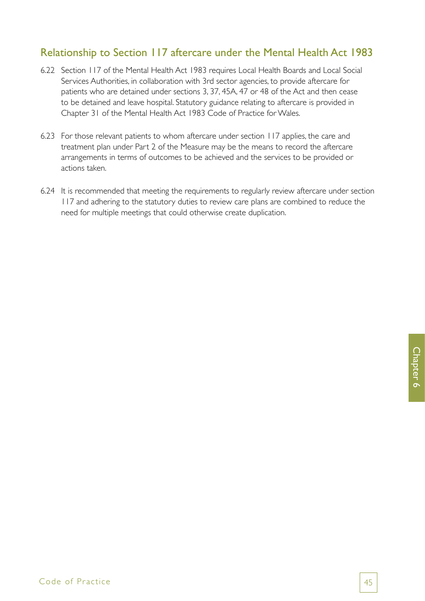# Relationship to Section 117 aftercare under the Mental Health Act 1983

- 6.22 Section 117 of the Mental Health Act 1983 requires Local Health Boards and Local Social Services Authorities, in collaboration with 3rd sector agencies, to provide aftercare for patients who are detained under sections 3, 37, 45A, 47 or 48 of the Act and then cease to be detained and leave hospital. Statutory guidance relating to aftercare is provided in Chapter 31 of the Mental Health Act 1983 Code of Practice for Wales.
- 6.23 For those relevant patients to whom aftercare under section 117 applies, the care and treatment plan under Part 2 of the Measure may be the means to record the aftercare arrangements in terms of outcomes to be achieved and the services to be provided or actions taken.
- 6.24 It is recommended that meeting the requirements to regularly review aftercare under section 117 and adhering to the statutory duties to review care plans are combined to reduce the need for multiple meetings that could otherwise create duplication.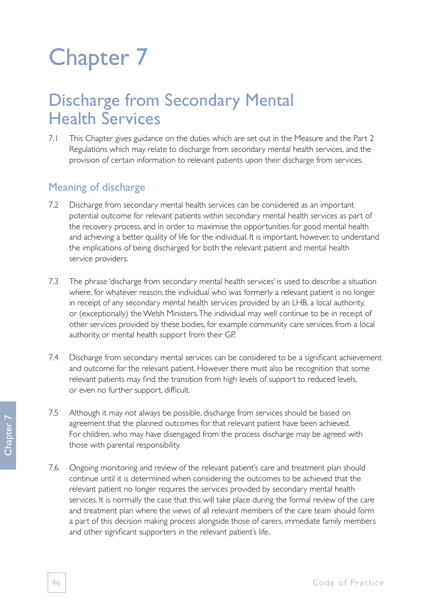# Chapter 7

# Discharge from Secondary Mental Health Services

7.1 This Chapter gives guidance on the duties which are set out in the Measure and the Part 2 Regulations which may relate to discharge from secondary mental health services, and the provision of certain information to relevant patients upon their discharge from services.

# Meaning of discharge

- 7.2 Discharge from secondary mental health services can be considered as an important potential outcome for relevant patients within secondary mental health services as part of the recovery process, and in order to maximise the opportunities for good mental health and achieving a better quality of life for the individual. It is important, however, to understand the implications of being discharged for both the relevant patient and mental health service providers.
- 7.3 The phrase 'discharge from secondary mental health services' is used to describe a situation where, for whatever reason, the individual who was formerly a relevant patient is no longer in receipt of any secondary mental health services provided by an LHB, a local authority, or (exceptionally) the Welsh Ministers. The individual may well continue to be in receipt of other services provided by these bodies, for example community care services from a local authority, or mental health support from their GP.
- 7.4 Discharge from secondary mental services can be considered to be a significant achievement and outcome for the relevant patient. However there must also be recognition that some relevant patients may find the transition from high levels of support to reduced levels, or even no further support, difficult.
- 7.5 Although it may not always be possible, discharge from services should be based on agreement that the planned outcomes for that relevant patient have been achieved. For children, who may have disengaged from the process discharge may be agreed with those with parental responsibility.
- 7.6 Ongoing monitoring and review of the relevant patient's care and treatment plan should continue until it is determined when considering the outcomes to be achieved that the relevant patient no longer requires the services provided by secondary mental health services. It is normally the case that this will take place during the formal review of the care and treatment plan where the views of all relevant members of the care team should form a part of this decision making process alongside those of carers, immediate family members and other significant supporters in the relevant patient's life.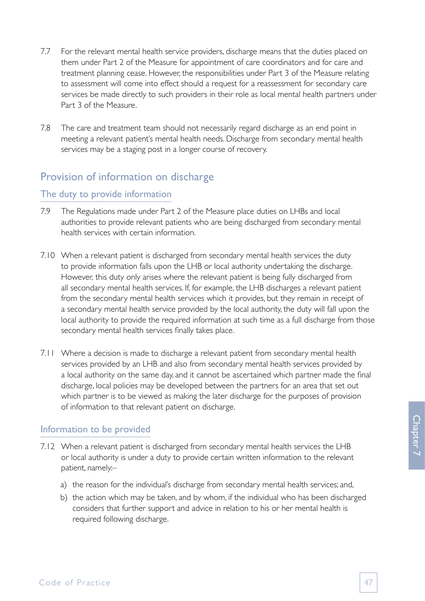- 7.7 For the relevant mental health service providers, discharge means that the duties placed on them under Part 2 of the Measure for appointment of care coordinators and for care and treatment planning cease. However, the responsibilities under Part 3 of the Measure relating to assessment will come into effect should a request for a reassessment for secondary care services be made directly to such providers in their role as local mental health partners under Part 3 of the Measure.
- 7.8 The care and treatment team should not necessarily regard discharge as an end point in meeting a relevant patient's mental health needs. Discharge from secondary mental health services may be a staging post in a longer course of recovery.

# Provision of information on discharge

#### The duty to provide information

- 7.9 The Regulations made under Part 2 of the Measure place duties on LHBs and local authorities to provide relevant patients who are being discharged from secondary mental health services with certain information.
- 7.10 When a relevant patient is discharged from secondary mental health services the duty to provide information falls upon the LHB or local authority undertaking the discharge. However, this duty only arises where the relevant patient is being fully discharged from all secondary mental health services. If, for example, the LHB discharges a relevant patient from the secondary mental health services which it provides, but they remain in receipt of a secondary mental health service provided by the local authority, the duty will fall upon the local authority to provide the required information at such time as a full discharge from those secondary mental health services finally takes place.
- 7.11 Where a decision is made to discharge a relevant patient from secondary mental health services provided by an LHB and also from secondary mental health services provided by a local authority on the same day, and it cannot be ascertained which partner made the final discharge, local policies may be developed between the partners for an area that set out which partner is to be viewed as making the later discharge for the purposes of provision of information to that relevant patient on discharge.

#### Information to be provided

- 7.12 When a relevant patient is discharged from secondary mental health services the LHB or local authority is under a duty to provide certain written information to the relevant patient, namely:–
	- a) the reason for the individual's discharge from secondary mental health services; and,
	- b) the action which may be taken, and by whom, if the individual who has been discharged considers that further support and advice in relation to his or her mental health is required following discharge.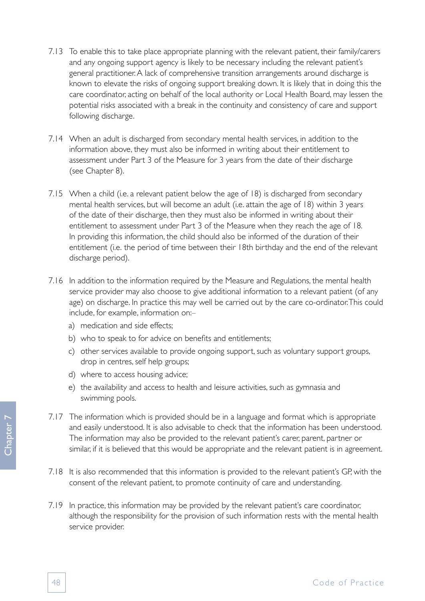- 7.13 To enable this to take place appropriate planning with the relevant patient, their family/carers and any ongoing support agency is likely to be necessary including the relevant patient's general practitioner. A lack of comprehensive transition arrangements around discharge is known to elevate the risks of ongoing support breaking down. It is likely that in doing this the care coordinator, acting on behalf of the local authority or Local Health Board, may lessen the potential risks associated with a break in the continuity and consistency of care and support following discharge.
- 7.14 When an adult is discharged from secondary mental health services, in addition to the information above, they must also be informed in writing about their entitlement to assessment under Part 3 of the Measure for 3 years from the date of their discharge (see Chapter 8).
- 7.15 When a child (i.e. a relevant patient below the age of 18) is discharged from secondary mental health services, but will become an adult (i.e. attain the age of 18) within 3 years of the date of their discharge, then they must also be informed in writing about their entitlement to assessment under Part 3 of the Measure when they reach the age of 18. In providing this information, the child should also be informed of the duration of their entitlement (i.e. the period of time between their 18th birthday and the end of the relevant discharge period).
- 7.16 In addition to the information required by the Measure and Regulations, the mental health service provider may also choose to give additional information to a relevant patient (of any age) on discharge. In practice this may well be carried out by the care co-ordinator. This could include, for example, information on:–
	- a) medication and side effects;
	- b) who to speak to for advice on benefits and entitlements;
	- c) other services available to provide ongoing support, such as voluntary support groups, drop in centres, self help groups;
	- d) where to access housing advice;
	- e) the availability and access to health and leisure activities, such as gymnasia and swimming pools.
- 7.17 The information which is provided should be in a language and format which is appropriate and easily understood. It is also advisable to check that the information has been understood. The information may also be provided to the relevant patient's carer, parent, partner or similar, if it is believed that this would be appropriate and the relevant patient is in agreement.
- 7.18 It is also recommended that this information is provided to the relevant patient's GP, with the consent of the relevant patient, to promote continuity of care and understanding.
- 7.19 In practice, this information may be provided by the relevant patient's care coordinator, although the responsibility for the provision of such information rests with the mental health service provider.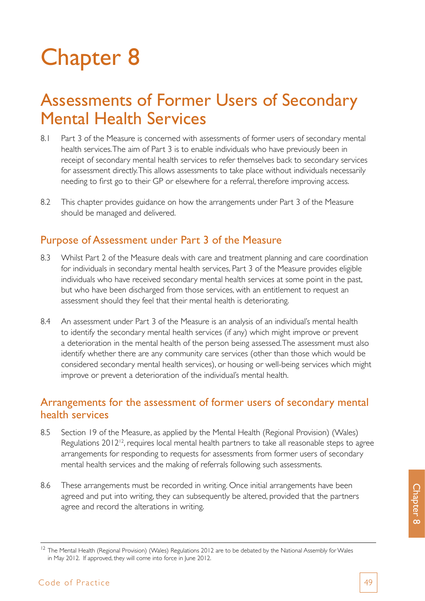# Chapter 8

# Assessments of Former Users of Secondary Mental Health Services

- 8.1 Part 3 of the Measure is concerned with assessments of former users of secondary mental health services. The aim of Part 3 is to enable individuals who have previously been in receipt of secondary mental health services to refer themselves back to secondary services for assessment directly. This allows assessments to take place without individuals necessarily needing to first go to their GP or elsewhere for a referral, therefore improving access.
- 8.2 This chapter provides guidance on how the arrangements under Part 3 of the Measure should be managed and delivered.

## Purpose of Assessment under Part 3 of the Measure

- 8.3 Whilst Part 2 of the Measure deals with care and treatment planning and care coordination for individuals in secondary mental health services, Part 3 of the Measure provides eligible individuals who have received secondary mental health services at some point in the past, but who have been discharged from those services, with an entitlement to request an assessment should they feel that their mental health is deteriorating.
- 8.4 An assessment under Part 3 of the Measure is an analysis of an individual's mental health to identify the secondary mental health services (if any) which might improve or prevent a deterioration in the mental health of the person being assessed. The assessment must also identify whether there are any community care services (other than those which would be considered secondary mental health services), or housing or well-being services which might improve or prevent a deterioration of the individual's mental health.

## Arrangements for the assessment of former users of secondary mental health services

- 8.5 Section 19 of the Measure, as applied by the Mental Health (Regional Provision) (Wales) Regulations 2012<sup>12</sup>, requires local mental health partners to take all reasonable steps to agree arrangements for responding to requests for assessments from former users of secondary mental health services and the making of referrals following such assessments.
- 8.6 These arrangements must be recorded in writing. Once initial arrangements have been agreed and put into writing, they can subsequently be altered, provided that the partners agree and record the alterations in writing.

Chapter 8

<sup>&</sup>lt;sup>12</sup> The Mental Health (Regional Provision) (Wales) Regulations 2012 are to be debated by the National Assembly for Wales in May 2012. If approved, they will come into force in June 2012.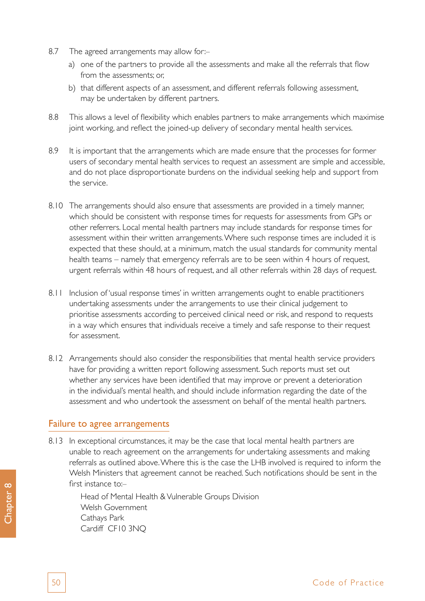- 8.7 The agreed arrangements may allow for:
	- a) one of the partners to provide all the assessments and make all the referrals that flow from the assessments; or,
	- b) that different aspects of an assessment, and different referrals following assessment, may be undertaken by different partners.
- 8.8 This allows a level of flexibility which enables partners to make arrangements which maximise joint working, and reflect the joined-up delivery of secondary mental health services.
- 8.9 It is important that the arrangements which are made ensure that the processes for former users of secondary mental health services to request an assessment are simple and accessible, and do not place disproportionate burdens on the individual seeking help and support from the service.
- 8.10 The arrangements should also ensure that assessments are provided in a timely manner, which should be consistent with response times for requests for assessments from GPs or other referrers. Local mental health partners may include standards for response times for assessment within their written arrangements. Where such response times are included it is expected that these should, at a minimum, match the usual standards for community mental health teams – namely that emergency referrals are to be seen within 4 hours of request, urgent referrals within 48 hours of request, and all other referrals within 28 days of request.
- 8.11 Inclusion of 'usual response times' in written arrangements ought to enable practitioners undertaking assessments under the arrangements to use their clinical judgement to prioritise assessments according to perceived clinical need or risk, and respond to requests in a way which ensures that individuals receive a timely and safe response to their request for assessment.
- 8.12 Arrangements should also consider the responsibilities that mental health service providers have for providing a written report following assessment. Such reports must set out whether any services have been identified that may improve or prevent a deterioration in the individual's mental health, and should include information regarding the date of the assessment and who undertook the assessment on behalf of the mental health partners.

#### Failure to agree arrangements

8.13 In exceptional circumstances, it may be the case that local mental health partners are unable to reach agreement on the arrangements for undertaking assessments and making referrals as outlined above. Where this is the case the LHB involved is required to inform the Welsh Ministers that agreement cannot be reached. Such notifications should be sent in the first instance to:-

Head of Mental Health & Vulnerable Groups Division Welsh Government Cathays Park Cardiff CF10 3NQ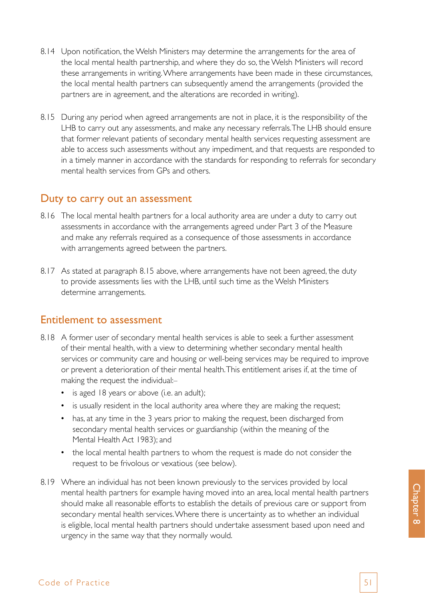- 8.14 Upon notification, the Welsh Ministers may determine the arrangements for the area of the local mental health partnership, and where they do so, the Welsh Ministers will record these arrangements in writing. Where arrangements have been made in these circumstances, the local mental health partners can subsequently amend the arrangements (provided the partners are in agreement, and the alterations are recorded in writing).
- 8.15 During any period when agreed arrangements are not in place, it is the responsibility of the LHB to carry out any assessments, and make any necessary referrals. The LHB should ensure that former relevant patients of secondary mental health services requesting assessment are able to access such assessments without any impediment, and that requests are responded to in a timely manner in accordance with the standards for responding to referrals for secondary mental health services from GPs and others.

#### Duty to carry out an assessment

- 8.16 The local mental health partners for a local authority area are under a duty to carry out assessments in accordance with the arrangements agreed under Part 3 of the Measure and make any referrals required as a consequence of those assessments in accordance with arrangements agreed between the partners.
- 8.17 As stated at paragraph 8.15 above, where arrangements have not been agreed, the duty to provide assessments lies with the LHB, until such time as the Welsh Ministers determine arrangements.

### Entitlement to assessment

- 8.18 A former user of secondary mental health services is able to seek a further assessment of their mental health, with a view to determining whether secondary mental health services or community care and housing or well-being services may be required to improve or prevent a deterioration of their mental health. This entitlement arises if, at the time of making the request the individual:–
	- is aged 18 years or above (i.e. an adult);
	- is usually resident in the local authority area where they are making the request;
	- has, at any time in the 3 years prior to making the request, been discharged from secondary mental health services or guardianship (within the meaning of the Mental Health Act 1983); and
	- the local mental health partners to whom the request is made do not consider the request to be frivolous or vexatious (see below).
- 8.19 Where an individual has not been known previously to the services provided by local mental health partners for example having moved into an area, local mental health partners should make all reasonable efforts to establish the details of previous care or support from secondary mental health services. Where there is uncertainty as to whether an individual is eligible, local mental health partners should undertake assessment based upon need and urgency in the same way that they normally would.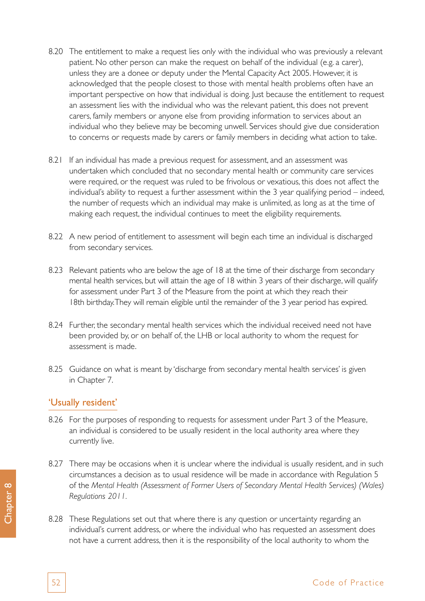- 8.20 The entitlement to make a request lies only with the individual who was previously a relevant patient. No other person can make the request on behalf of the individual (e.g. a carer), unless they are a donee or deputy under the Mental Capacity Act 2005. However, it is acknowledged that the people closest to those with mental health problems often have an important perspective on how that individual is doing. Just because the entitlement to request an assessment lies with the individual who was the relevant patient, this does not prevent carers, family members or anyone else from providing information to services about an individual who they believe may be becoming unwell. Services should give due consideration to concerns or requests made by carers or family members in deciding what action to take.
- 8.21 If an individual has made a previous request for assessment, and an assessment was undertaken which concluded that no secondary mental health or community care services were required, or the request was ruled to be frivolous or vexatious, this does not affect the individual's ability to request a further assessment within the 3 year qualifying period – indeed, the number of requests which an individual may make is unlimited, as long as at the time of making each request, the individual continues to meet the eligibility requirements.
- 8.22 A new period of entitlement to assessment will begin each time an individual is discharged from secondary services.
- 8.23 Relevant patients who are below the age of 18 at the time of their discharge from secondary mental health services, but will attain the age of 18 within 3 years of their discharge, will qualify for assessment under Part 3 of the Measure from the point at which they reach their 18th birthday. They will remain eligible until the remainder of the 3 year period has expired.
- 8.24 Further, the secondary mental health services which the individual received need not have been provided by, or on behalf of, the LHB or local authority to whom the request for assessment is made.
- 8.25 Guidance on what is meant by 'discharge from secondary mental health services' is given in Chapter 7.

#### 'Usually resident'

- 8.26 For the purposes of responding to requests for assessment under Part 3 of the Measure, an individual is considered to be usually resident in the local authority area where they currently live.
- 8.27 There may be occasions when it is unclear where the individual is usually resident, and in such circumstances a decision as to usual residence will be made in accordance with Regulation 5 of the *Mental Health (Assessment of Former Users of Secondary Mental Health Services) (Wales) Regulations 2011.*
- 8.28 These Regulations set out that where there is any question or uncertainty regarding an individual's current address, or where the individual who has requested an assessment does not have a current address, then it is the responsibility of the local authority to whom the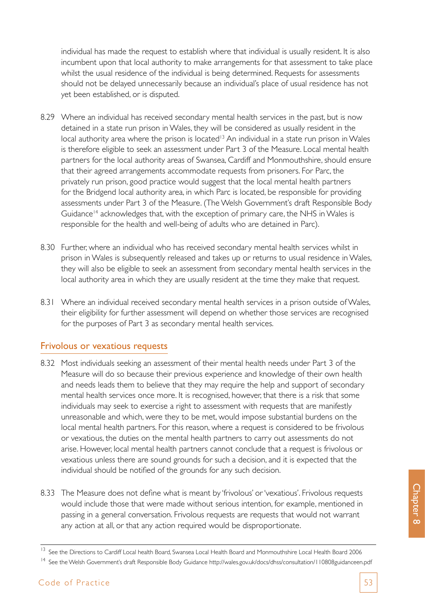individual has made the request to establish where that individual is usually resident. It is also incumbent upon that local authority to make arrangements for that assessment to take place whilst the usual residence of the individual is being determined. Requests for assessments should not be delayed unnecessarily because an individual's place of usual residence has not yet been established, or is disputed.

- 8.29 Where an individual has received secondary mental health services in the past, but is now detained in a state run prison in Wales, they will be considered as usually resident in the local authority area where the prison is located<sup>13</sup> An individual in a state run prison in Wales is therefore eligible to seek an assessment under Part 3 of the Measure. Local mental health partners for the local authority areas of Swansea, Cardiff and Monmouthshire, should ensure that their agreed arrangements accommodate requests from prisoners. For Parc, the privately run prison, good practice would suggest that the local mental health partners for the Bridgend local authority area, in which Parc is located, be responsible for providing assessments under Part 3 of the Measure. (The Welsh Government's draft Responsible Body Guidance<sup>14</sup> acknowledges that, with the exception of primary care, the NHS in Wales is responsible for the health and well-being of adults who are detained in Parc).
- 8.30 Further, where an individual who has received secondary mental health services whilst in prison in Wales is subsequently released and takes up or returns to usual residence in Wales, they will also be eligible to seek an assessment from secondary mental health services in the local authority area in which they are usually resident at the time they make that request.
- 8.31 Where an individual received secondary mental health services in a prison outside of Wales, their eligibility for further assessment will depend on whether those services are recognised for the purposes of Part 3 as secondary mental health services.

#### Frivolous or vexatious requests

- 8.32 Most individuals seeking an assessment of their mental health needs under Part 3 of the Measure will do so because their previous experience and knowledge of their own health and needs leads them to believe that they may require the help and support of secondary mental health services once more. It is recognised, however, that there is a risk that some individuals may seek to exercise a right to assessment with requests that are manifestly unreasonable and which, were they to be met, would impose substantial burdens on the local mental health partners. For this reason, where a request is considered to be frivolous or vexatious, the duties on the mental health partners to carry out assessments do not arise. However, local mental health partners cannot conclude that a request is frivolous or vexatious unless there are sound grounds for such a decision, and it is expected that the individual should be notified of the grounds for any such decision.
- 8.33 The Measure does not define what is meant by 'frivolous' or 'vexatious'. Frivolous requests would include those that were made without serious intention, for example, mentioned in passing in a general conversation. Frivolous requests are requests that would not warrant any action at all, or that any action required would be disproportionate.

<sup>&</sup>lt;sup>13</sup> See the Directions to Cardiff Local health Board, Swansea Local Health Board and Monmouthshire Local Health Board 2006

<sup>14</sup> See the Welsh Government's draft Responsible Body Guidance<http://wales.gov.uk/docs/dhss/consultation/110808guidanceen.pdf>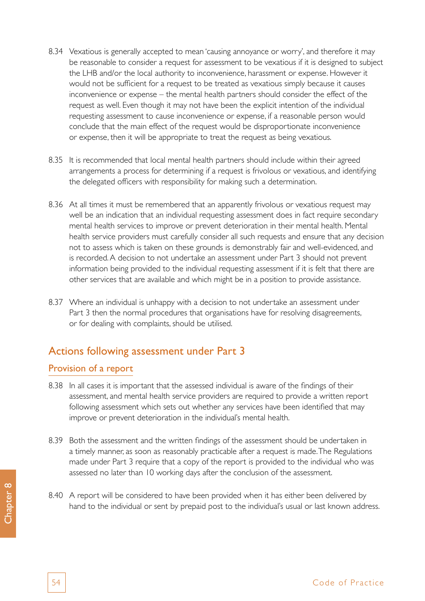- 8.34 Vexatious is generally accepted to mean 'causing annoyance or worry', and therefore it may be reasonable to consider a request for assessment to be vexatious if it is designed to subject the LHB and/or the local authority to inconvenience, harassment or expense. However it would not be sufficient for a request to be treated as vexatious simply because it causes inconvenience or expense – the mental health partners should consider the effect of the request as well. Even though it may not have been the explicit intention of the individual requesting assessment to cause inconvenience or expense, if a reasonable person would conclude that the main effect of the request would be disproportionate inconvenience or expense, then it will be appropriate to treat the request as being vexatious.
- 8.35 It is recommended that local mental health partners should include within their agreed arrangements a process for determining if a request is frivolous or vexatious, and identifying the delegated officers with responsibility for making such a determination.
- 8.36 At all times it must be remembered that an apparently frivolous or vexatious request may well be an indication that an individual requesting assessment does in fact require secondary mental health services to improve or prevent deterioration in their mental health. Mental health service providers must carefully consider all such requests and ensure that any decision not to assess which is taken on these grounds is demonstrably fair and well-evidenced, and is recorded. A decision to not undertake an assessment under Part 3 should not prevent information being provided to the individual requesting assessment if it is felt that there are other services that are available and which might be in a position to provide assistance.
- 8.37 Where an individual is unhappy with a decision to not undertake an assessment under Part 3 then the normal procedures that organisations have for resolving disagreements, or for dealing with complaints, should be utilised.

## Actions following assessment under Part 3

### Provision of a report

- 8.38 In all cases it is important that the assessed individual is aware of the findings of their assessment, and mental health service providers are required to provide a written report following assessment which sets out whether any services have been identified that may improve or prevent deterioration in the individual's mental health.
- 8.39 Both the assessment and the written findings of the assessment should be undertaken in a timely manner, as soon as reasonably practicable after a request is made. The Regulations made under Part 3 require that a copy of the report is provided to the individual who was assessed no later than 10 working days after the conclusion of the assessment.
- 8.40 A report will be considered to have been provided when it has either been delivered by hand to the individual or sent by prepaid post to the individual's usual or last known address.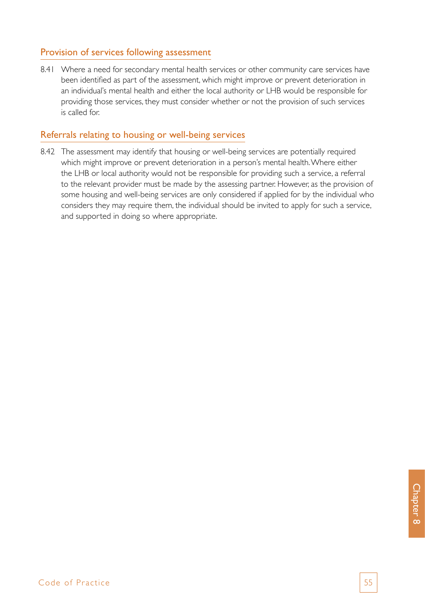### Provision of services following assessment

8.41 Where a need for secondary mental health services or other community care services have been identified as part of the assessment, which might improve or prevent deterioration in an individual's mental health and either the local authority or LHB would be responsible for providing those services, they must consider whether or not the provision of such services is called for.

#### Referrals relating to housing or well-being services

8.42 The assessment may identify that housing or well-being services are potentially required which might improve or prevent deterioration in a person's mental health. Where either the LHB or local authority would not be responsible for providing such a service, a referral to the relevant provider must be made by the assessing partner. However, as the provision of some housing and well-being services are only considered if applied for by the individual who considers they may require them, the individual should be invited to apply for such a service, and supported in doing so where appropriate.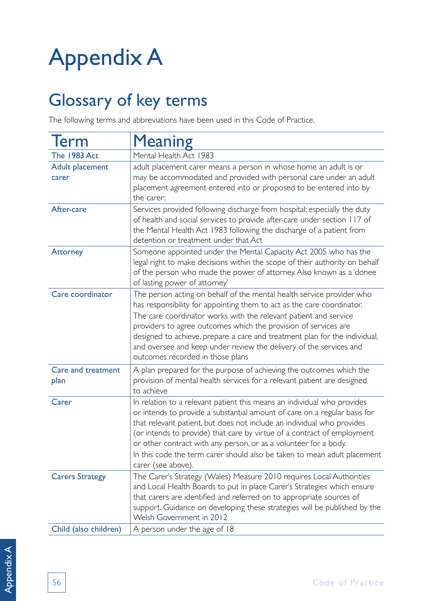# Appendix A

# Glossary of key terms

The following terms and abbreviations have been used in this Code of Practice.

| <b>Term</b>                     | <b>Meaning</b>                                                                                                                                                                                                                                                                                                                                                                                                                                                                  |
|---------------------------------|---------------------------------------------------------------------------------------------------------------------------------------------------------------------------------------------------------------------------------------------------------------------------------------------------------------------------------------------------------------------------------------------------------------------------------------------------------------------------------|
| <b>The 1983 Act</b>             | Mental Health Act 1983                                                                                                                                                                                                                                                                                                                                                                                                                                                          |
| <b>Adult placement</b><br>carer | adult placement carer means a person in whose home an adult is or<br>may be accommodated and provided with personal care under an adult<br>placement agreement entered into or proposed to be entered into by<br>the carer;                                                                                                                                                                                                                                                     |
| After-care                      | Services provided following discharge from hospital; especially the duty<br>of health and social services to provide after-care under section 117 of<br>the Mental Health Act 1983 following the discharge of a patient from<br>detention or treatment under that Act                                                                                                                                                                                                           |
| <b>Attorney</b>                 | Someone appointed under the Mental Capacity Act 2005 who has the<br>legal right to make decisions within the scope of their authority on behalf<br>of the person who made the power of attorney. Also known as a 'donee<br>of lasting power of attorney'                                                                                                                                                                                                                        |
| Care coordinator                | The person acting on behalf of the mental health service provider who<br>has responsibility for appointing them to act as the care coordinator.<br>The care coordinator works with the relevant patient and service<br>providers to agree outcomes which the provision of services are<br>designed to achieve, prepare a care and treatment plan for the individual,<br>and oversee and keep under review the delivery of the services and<br>outcomes recorded in those plans  |
| Care and treatment<br>plan      | A plan prepared for the purpose of achieving the outcomes which the<br>provision of mental health services for a relevant patient are designed<br>to achieve                                                                                                                                                                                                                                                                                                                    |
| Carer                           | In relation to a relevant patient this means an individual who provides<br>or intends to provide a substantial amount of care on a regular basis for<br>that relevant patient, but does not include an individual who provides<br>(or intends to provide) that care by virtue of a contract of employment<br>or other contract with any person, or as a volunteer for a body.<br>In this code the term carer should also be taken to mean adult placement<br>carer (see above). |
| <b>Carers Strategy</b>          | The Carer's Strategy (Wales) Measure 2010 requires Local Authorities<br>and Local Health Boards to put in place Carer's Strategies which ensure<br>that carers are identified and referred on to appropriate sources of<br>support. Guidance on developing these strategies will be published by the<br>Welsh Government in 2012                                                                                                                                                |
| Child (also children)           | A person under the age of 18                                                                                                                                                                                                                                                                                                                                                                                                                                                    |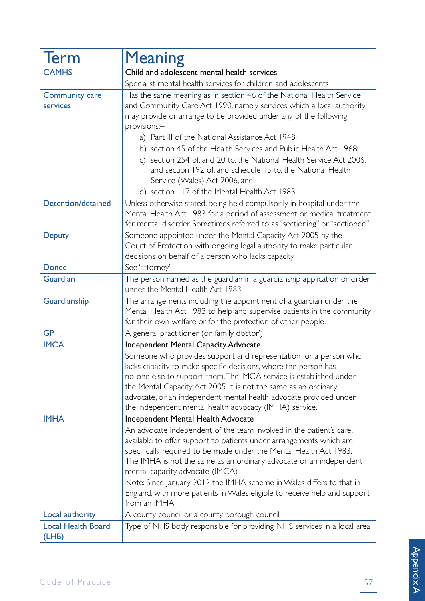| <b>Term</b>                        | <b>Meaning</b>                                                                                                                                                                                                                                                                                                                                                                                                                                                                                                                                                                   |
|------------------------------------|----------------------------------------------------------------------------------------------------------------------------------------------------------------------------------------------------------------------------------------------------------------------------------------------------------------------------------------------------------------------------------------------------------------------------------------------------------------------------------------------------------------------------------------------------------------------------------|
| <b>CAMHS</b>                       | Child and adolescent mental health services                                                                                                                                                                                                                                                                                                                                                                                                                                                                                                                                      |
|                                    | Specialist mental health services for children and adolescents                                                                                                                                                                                                                                                                                                                                                                                                                                                                                                                   |
| <b>Community care</b><br>services  | Has the same meaning as in section 46 of the National Health Service<br>and Community Care Act 1990, namely services which a local authority<br>may provide or arrange to be provided under any of the following<br>provisions:-<br>a) Part III of the National Assistance Act 1948;<br>b) section 45 of the Health Services and Public Health Act 1968;<br>c) section 254 of, and 20 to, the National Health Service Act 2006,<br>and section 192 of, and schedule 15 to, the National Health<br>Service (Wales) Act 2006, and<br>d) section 117 of the Mental Health Act 1983; |
| Detention/detained                 | Unless otherwise stated, being held compulsorily in hospital under the<br>Mental Health Act 1983 for a period of assessment or medical treatment<br>for mental disorder. Sometimes referred to as "sectioning" or "sectioned"                                                                                                                                                                                                                                                                                                                                                    |
| <b>Deputy</b>                      | Someone appointed under the Mental Capacity Act 2005 by the<br>Court of Protection with ongoing legal authority to make particular<br>decisions on behalf of a person who lacks capacity.                                                                                                                                                                                                                                                                                                                                                                                        |
| <b>Donee</b>                       | See 'attorney'                                                                                                                                                                                                                                                                                                                                                                                                                                                                                                                                                                   |
| Guardian                           | The person named as the guardian in a guardianship application or order<br>under the Mental Health Act 1983                                                                                                                                                                                                                                                                                                                                                                                                                                                                      |
| Guardianship                       | The arrangements including the appointment of a guardian under the<br>Mental Health Act 1983 to help and supervise patients in the community<br>for their own welfare or for the protection of other people.                                                                                                                                                                                                                                                                                                                                                                     |
| <b>GP</b>                          | A general practitioner (or 'family doctor')                                                                                                                                                                                                                                                                                                                                                                                                                                                                                                                                      |
| <b>IMCA</b>                        | <b>Independent Mental Capacity Advocate</b>                                                                                                                                                                                                                                                                                                                                                                                                                                                                                                                                      |
|                                    | Someone who provides support and representation for a person who<br>lacks capacity to make specific decisions, where the person has<br>no-one else to support them. The IMCA service is established under<br>the Mental Capacity Act 2005. It is not the same as an ordinary<br>advocate, or an independent mental health advocate provided under<br>the independent mental health advocacy (IMHA) service.                                                                                                                                                                      |
| <b>IMHA</b>                        | Independent Mental Health Advocate                                                                                                                                                                                                                                                                                                                                                                                                                                                                                                                                               |
|                                    | An advocate independent of the team involved in the patient's care,<br>available to offer support to patients under arrangements which are<br>specifically required to be made under the Mental Health Act 1983.<br>The IMHA is not the same as an ordinary advocate or an independent<br>mental capacity advocate (IMCA)<br>Note: Since January 2012 the IMHA scheme in Wales differs to that in<br>England, with more patients in Wales eligible to receive help and support                                                                                                   |
|                                    | from an IMHA                                                                                                                                                                                                                                                                                                                                                                                                                                                                                                                                                                     |
| Local authority                    | A county council or a county borough council                                                                                                                                                                                                                                                                                                                                                                                                                                                                                                                                     |
| <b>Local Health Board</b><br>(LHB) | Type of NHS body responsible for providing NHS services in a local area                                                                                                                                                                                                                                                                                                                                                                                                                                                                                                          |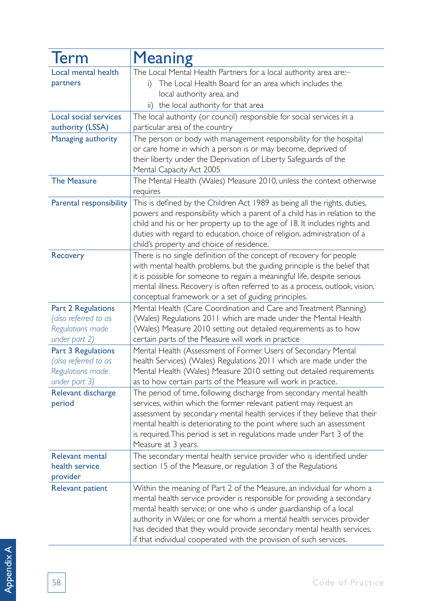| Term                                                                                   | <b>Meaning</b>                                                                                                                                                                                                                                                                                                                                                                                                                                 |
|----------------------------------------------------------------------------------------|------------------------------------------------------------------------------------------------------------------------------------------------------------------------------------------------------------------------------------------------------------------------------------------------------------------------------------------------------------------------------------------------------------------------------------------------|
| Local mental health<br>partners                                                        | The Local Mental Health Partners for a local authority area are:-<br>The Local Health Board for an area which includes the<br>$_{\perp}$<br>local authority area, and<br>ii) the local authority for that area                                                                                                                                                                                                                                 |
| Local social services<br>authority (LSSA)                                              | The local authority (or council) responsible for social services in a<br>particular area of the country                                                                                                                                                                                                                                                                                                                                        |
| Managing authority                                                                     | The person or body with management responsibility for the hospital<br>or care home in which a person is or may become, deprived of<br>their liberty under the Deprivation of Liberty Safeguards of the<br>Mental Capacity Act 2005                                                                                                                                                                                                             |
| <b>The Measure</b>                                                                     | The Mental Health (Wales) Measure 2010, unless the context otherwise<br>requires                                                                                                                                                                                                                                                                                                                                                               |
| Parental responsibility                                                                | This is defined by the Children Act 1989 as being all the rights, duties,<br>powers and responsibility which a parent of a child has in relation to the<br>child and his or her property up to the age of 18. It includes rights and<br>duties with regard to education, choice of religion, administration of a<br>child's property and choice of residence.                                                                                  |
| Recovery                                                                               | There is no single definition of the concept of recovery for people<br>with mental health problems, but the guiding principle is the belief that<br>it is possible for someone to regain a meaningful life, despite serious<br>mental illness. Recovery is often referred to as a process, outlook, vision,<br>conceptual framework or a set of guiding principles.                                                                            |
| <b>Part 2 Regulations</b><br>(also referred to as<br>Regulations made<br>under part 2) | Mental Health (Care Coordination and Care and Treatment Planning)<br>(Wales) Regulations 2011 which are made under the Mental Health<br>(Wales) Measure 2010 setting out detailed requirements as to how<br>certain parts of the Measure will work in practice                                                                                                                                                                                 |
| <b>Part 3 Regulations</b><br>(also referred to as<br>Regulations made<br>under part 3) | Mental Health (Assessment of Former Users of Secondary Mental<br>health Services) (Wales) Regulations 2011 which are made under the<br>Mental Health (Wales) Measure 2010 setting out detailed requirements<br>as to how certain parts of the Measure will work in practice.                                                                                                                                                                   |
| Relevant discharge<br>period                                                           | The period of time, following discharge from secondary mental health<br>services, within which the former relevant patient may request an<br>assessment by secondary mental health services if they believe that their<br>mental health is deteriorating to the point where such an assessment<br>is required. This period is set in regulations made under Part 3 of the<br>Measure at 3 years.                                               |
| <b>Relevant mental</b><br>health service<br>provider                                   | The secondary mental health service provider who is identified under<br>section 15 of the Measure, or regulation 3 of the Regulations                                                                                                                                                                                                                                                                                                          |
| <b>Relevant patient</b>                                                                | Within the meaning of Part 2 of the Measure, an individual for whom a<br>mental health service provider is responsible for providing a secondary<br>mental health service; or one who is under guardianship of a local<br>authority in Wales; or one for whom a mental health services provider<br>has decided that they would provide secondary mental health services,<br>if that individual cooperated with the provision of such services. |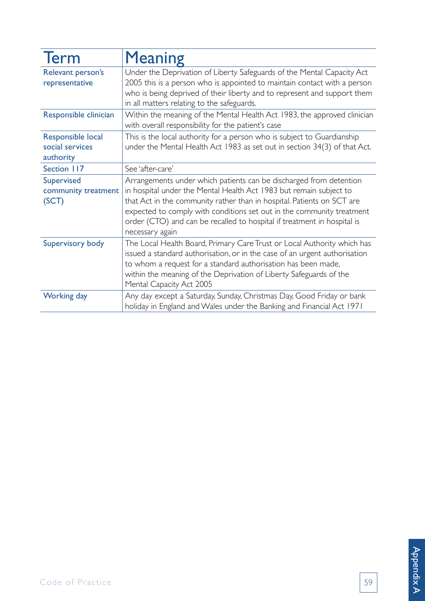| <b>Term</b>                                       | <b>Meaning</b>                                                                                                                                       |
|---------------------------------------------------|------------------------------------------------------------------------------------------------------------------------------------------------------|
| Relevant person's<br>representative               | Under the Deprivation of Liberty Safeguards of the Mental Capacity Act<br>2005 this is a person who is appointed to maintain contact with a person   |
|                                                   | who is being deprived of their liberty and to represent and support them<br>in all matters relating to the safeguards.                               |
| Responsible clinician                             | Within the meaning of the Mental Health Act 1983, the approved clinician<br>with overall responsibility for the patient's case                       |
| Responsible local<br>social services<br>authority | This is the local authority for a person who is subject to Guardianship<br>under the Mental Health Act 1983 as set out in section 34(3) of that Act. |
| Section 117                                       | See 'after-care'                                                                                                                                     |
| Supervised                                        | Arrangements under which patients can be discharged from detention                                                                                   |
| community treatment                               | in hospital under the Mental Health Act 1983 but remain subject to                                                                                   |
| (SCT)                                             | that Act in the community rather than in hospital. Patients on SCT are<br>expected to comply with conditions set out in the community treatment      |
|                                                   | order (CTO) and can be recalled to hospital if treatment in hospital is                                                                              |
|                                                   | necessary again                                                                                                                                      |
| Supervisory body                                  | The Local Health Board, Primary Care Trust or Local Authority which has                                                                              |
|                                                   | issued a standard authorisation, or in the case of an urgent authorisation                                                                           |
|                                                   | to whom a request for a standard authorisation has been made,                                                                                        |
|                                                   | within the meaning of the Deprivation of Liberty Safeguards of the<br>Mental Capacity Act 2005                                                       |
| Working day                                       | Any day except a Saturday, Sunday, Christmas Day, Good Friday or bank<br>holiday in England and Wales under the Banking and Financial Act 1971       |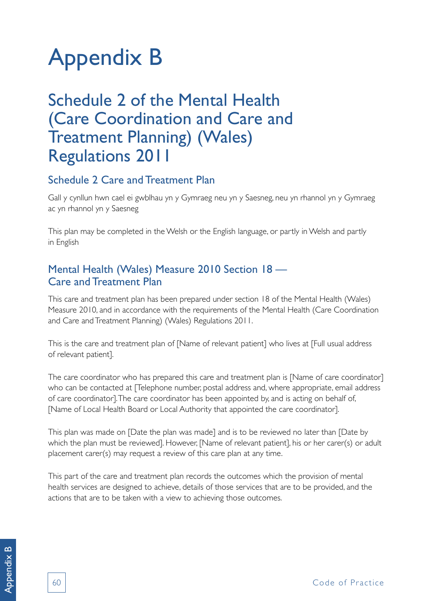# Appendix B

# Schedule 2 of the Mental Health (Care Coordination and Care and Treatment Planning) (Wales) Regulations 2011

# Schedule 2 Care and Treatment Plan

Gall y cynllun hwn cael ei gwblhau yn y Gymraeg neu yn y Saesneg, neu yn rhannol yn y Gymraeg ac yn rhannol yn y Saesneg

This plan may be completed in the Welsh or the English language, or partly in Welsh and partly in English

## Mental Health (Wales) Measure 2010 Section 18 — Care and Treatment Plan

This care and treatment plan has been prepared under section 18 of the Mental Health (Wales) Measure 2010, and in accordance with the requirements of the Mental Health (Care Coordination and Care and Treatment Planning) (Wales) Regulations 2011.

This is the care and treatment plan of [Name of relevant patient] who lives at [Full usual address of relevant patient].

The care coordinator who has prepared this care and treatment plan is [Name of care coordinator] who can be contacted at [Telephone number, postal address and, where appropriate, email address of care coordinator]. The care coordinator has been appointed by, and is acting on behalf of, [Name of Local Health Board or Local Authority that appointed the care coordinator].

This plan was made on [Date the plan was made] and is to be reviewed no later than [Date by which the plan must be reviewed]. However, [Name of relevant patient], his or her carer(s) or adult placement carer(s) may request a review of this care plan at any time.

This part of the care and treatment plan records the outcomes which the provision of mental health services are designed to achieve, details of those services that are to be provided, and the actions that are to be taken with a view to achieving those outcomes.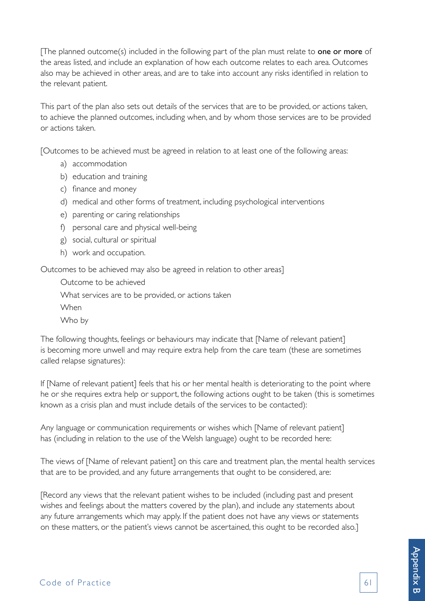[The planned outcome(s) included in the following part of the plan must relate to one or more of the areas listed, and include an explanation of how each outcome relates to each area. Outcomes also may be achieved in other areas, and are to take into account any risks identified in relation to the relevant patient.

This part of the plan also sets out details of the services that are to be provided, or actions taken, to achieve the planned outcomes, including when, and by whom those services are to be provided or actions taken.

[Outcomes to be achieved must be agreed in relation to at least one of the following areas:

- a) accommodation
- b) education and training
- c) finance and money
- d) medical and other forms of treatment, including psychological interventions
- e) parenting or caring relationships
- f) personal care and physical well-being
- g) social, cultural or spiritual
- h) work and occupation.

Outcomes to be achieved may also be agreed in relation to other areas]

Outcome to be achieved

What services are to be provided, or actions taken

When

Who by

The following thoughts, feelings or behaviours may indicate that [Name of relevant patient] is becoming more unwell and may require extra help from the care team (these are sometimes called relapse signatures):

If [Name of relevant patient] feels that his or her mental health is deteriorating to the point where he or she requires extra help or support, the following actions ought to be taken (this is sometimes known as a crisis plan and must include details of the services to be contacted):

Any language or communication requirements or wishes which [Name of relevant patient] has (including in relation to the use of the Welsh language) ought to be recorded here:

The views of [Name of relevant patient] on this care and treatment plan, the mental health services that are to be provided, and any future arrangements that ought to be considered, are:

[Record any views that the relevant patient wishes to be included (including past and present wishes and feelings about the matters covered by the plan), and include any statements about any future arrangements which may apply. If the patient does not have any views or statements on these matters, or the patient's views cannot be ascertained, this ought to be recorded also.]